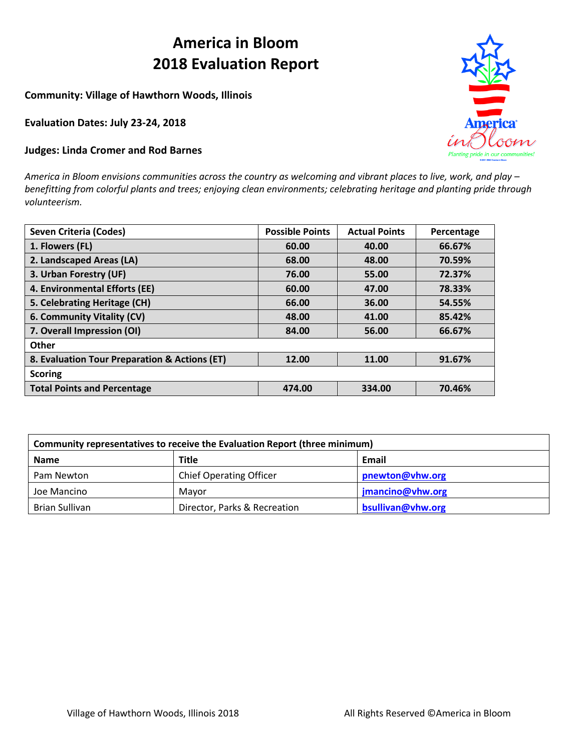# **America in Bloom 2018 Evaluation Report**

**Community: Village of Hawthorn Woods, Illinois**

**Evaluation Dates: July 23-24, 2018**

### **Judges: Linda Cromer and Rod Barnes**

*America in Bloom envisions communities across the country as welcoming and vibrant places to live, work, and play – benefitting from colorful plants and trees; enjoying clean environments; celebrating heritage and planting pride through volunteerism.*

| <b>Seven Criteria (Codes)</b>                 | <b>Possible Points</b> | <b>Actual Points</b> | Percentage |
|-----------------------------------------------|------------------------|----------------------|------------|
| 1. Flowers (FL)                               | 60.00                  | 40.00                | 66.67%     |
| 2. Landscaped Areas (LA)                      | 68.00                  | 48.00                | 70.59%     |
| 3. Urban Forestry (UF)                        | 76.00                  | 55.00                | 72.37%     |
| 4. Environmental Efforts (EE)                 | 60.00                  | 47.00                | 78.33%     |
| 5. Celebrating Heritage (CH)                  | 66.00                  | 36.00                | 54.55%     |
| 6. Community Vitality (CV)                    | 48.00                  | 41.00                | 85.42%     |
| 7. Overall Impression (OI)                    | 84.00                  | 56.00                | 66.67%     |
| Other                                         |                        |                      |            |
| 8. Evaluation Tour Preparation & Actions (ET) | 12.00                  | 11.00                | 91.67%     |
| <b>Scoring</b>                                |                        |                      |            |
| <b>Total Points and Percentage</b>            | 474.00                 | 334.00               | 70.46%     |

| Community representatives to receive the Evaluation Report (three minimum) |                                |                   |  |  |  |  |
|----------------------------------------------------------------------------|--------------------------------|-------------------|--|--|--|--|
| <b>Name</b>                                                                | <b>Title</b>                   | Email             |  |  |  |  |
| Pam Newton                                                                 | <b>Chief Operating Officer</b> | pnewton@vhw.org   |  |  |  |  |
| Joe Mancino                                                                | Mavor                          | jmancino@vhw.org  |  |  |  |  |
| Brian Sullivan                                                             | Director, Parks & Recreation   | bsullivan@vhw.org |  |  |  |  |

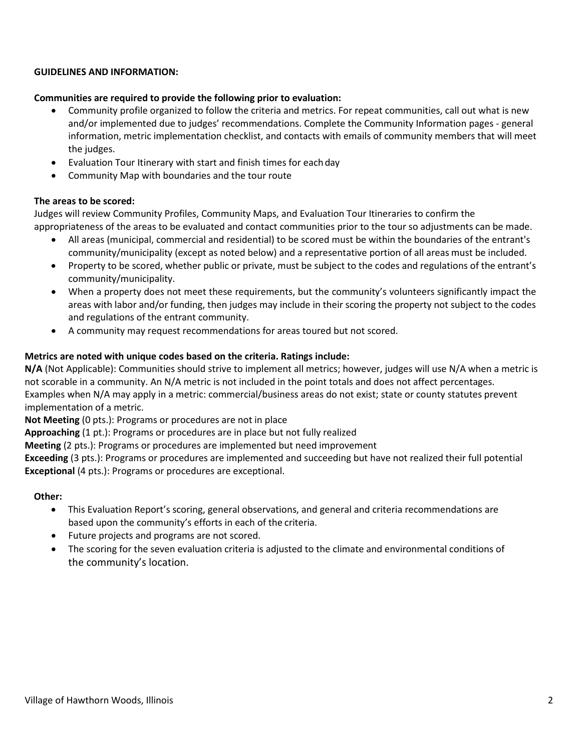### **GUIDELINES AND INFORMATION:**

### **Communities are required to provide the following prior to evaluation:**

- Community profile organized to follow the criteria and metrics. For repeat communities, call out what is new and/or implemented due to judges' recommendations. Complete the Community Information pages - general information, metric implementation checklist, and contacts with emails of community members that will meet the judges.
- Evaluation Tour Itinerary with start and finish times for eachday
- Community Map with boundaries and the tour route

### **The areas to be scored:**

Judges will review Community Profiles, Community Maps, and Evaluation Tour Itineraries to confirm the appropriateness of the areas to be evaluated and contact communities prior to the tour so adjustments can be made.

- All areas (municipal, commercial and residential) to be scored must be within the boundaries of the entrant's community/municipality (except as noted below) and a representative portion of all areas must be included.
- Property to be scored, whether public or private, must be subject to the codes and regulations of the entrant's community/municipality.
- When a property does not meet these requirements, but the community's volunteers significantly impact the areas with labor and/or funding, then judges may include in their scoring the property not subject to the codes and regulations of the entrant community.
- A community may request recommendations for areas toured but not scored.

### **Metrics are noted with unique codes based on the criteria. Ratings include:**

**N/A** (Not Applicable): Communities should strive to implement all metrics; however, judges will use N/A when a metric is not scorable in a community. An N/A metric is not included in the point totals and does not affect percentages. Examples when N/A may apply in a metric: commercial/business areas do not exist; state or county statutes prevent implementation of a metric.

**Not Meeting** (0 pts.): Programs or procedures are not in place

**Approaching** (1 pt.): Programs or procedures are in place but not fully realized

**Meeting** (2 pts.): Programs or procedures are implemented but need improvement

**Exceeding** (3 pts.): Programs or procedures are implemented and succeeding but have not realized their full potential **Exceptional** (4 pts.): Programs or procedures are exceptional.

### **Other:**

- This Evaluation Report's scoring, general observations, and general and criteria recommendations are based upon the community's efforts in each of the criteria.
- Future projects and programs are not scored.
- The scoring for the seven evaluation criteria is adjusted to the climate and environmental conditions of the community's location.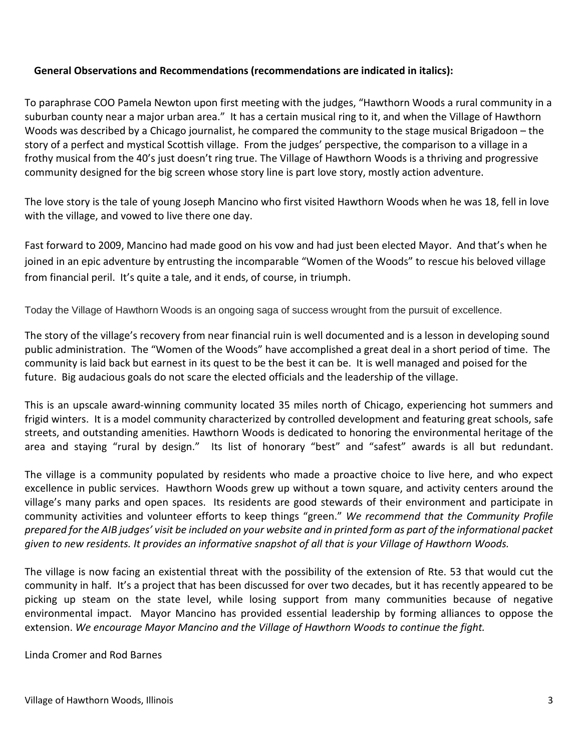# **General Observations and Recommendations (recommendations are indicated in italics):**

To paraphrase COO Pamela Newton upon first meeting with the judges, "Hawthorn Woods a rural community in a suburban county near a major urban area." It has a certain musical ring to it, and when the Village of Hawthorn Woods was described by a Chicago journalist, he compared the community to the stage musical Brigadoon – the story of a perfect and mystical Scottish village. From the judges' perspective, the comparison to a village in a frothy musical from the 40's just doesn't ring true. The Village of Hawthorn Woods is a thriving and progressive community designed for the big screen whose story line is part love story, mostly action adventure.

The love story is the tale of young Joseph Mancino who first visited Hawthorn Woods when he was 18, fell in love with the village, and vowed to live there one day.

Fast forward to 2009, Mancino had made good on his vow and had just been elected Mayor. And that's when he joined in an epic adventure by entrusting the incomparable "Women of the Woods" to rescue his beloved village from financial peril. It's quite a tale, and it ends, of course, in triumph.

Today the Village of Hawthorn Woods is an ongoing saga of success wrought from the pursuit of excellence.

The story of the village's recovery from near financial ruin is well documented and is a lesson in developing sound public administration. The "Women of the Woods" have accomplished a great deal in a short period of time. The community is laid back but earnest in its quest to be the best it can be. It is well managed and poised for the future. Big audacious goals do not scare the elected officials and the leadership of the village.

This is an upscale award-winning community located 35 miles north of Chicago, experiencing hot summers and frigid winters. It is a model community characterized by controlled development and featuring great schools, safe streets, and outstanding amenities. Hawthorn Woods is dedicated to honoring the environmental heritage of the area and staying "rural by design." Its list of honorary "best" and "safest" awards is all but redundant.

The village is a community populated by residents who made a proactive choice to live here, and who expect excellence in public services. Hawthorn Woods grew up without a town square, and activity centers around the village's many parks and open spaces. Its residents are good stewards of their environment and participate in community activities and volunteer efforts to keep things "green." *We recommend that the Community Profile prepared for the AIB judges' visit be included on your website and in printed form as part of the informational packet given to new residents. It provides an informative snapshot of all that is your Village of Hawthorn Woods.*

The village is now facing an existential threat with the possibility of the extension of Rte. 53 that would cut the community in half. It's a project that has been discussed for over two decades, but it has recently appeared to be picking up steam on the state level, while losing support from many communities because of negative environmental impact. Mayor Mancino has provided essential leadership by forming alliances to oppose the extension. *We encourage Mayor Mancino and the Village of Hawthorn Woods to continue the fight.*

Linda Cromer and Rod Barnes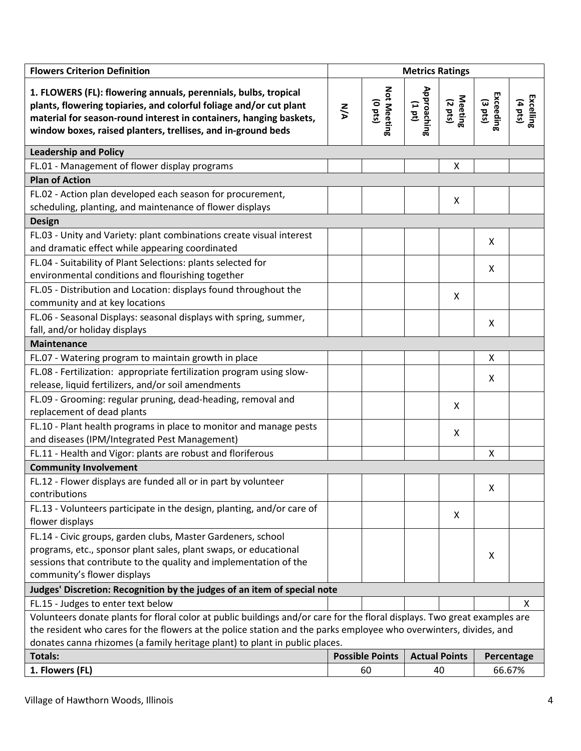| <b>Flowers Criterion Definition</b>                                                                                                                                                                                                                                                                                           | <b>Metrics Ratings</b> |                             |                        |                      |                      |                      |
|-------------------------------------------------------------------------------------------------------------------------------------------------------------------------------------------------------------------------------------------------------------------------------------------------------------------------------|------------------------|-----------------------------|------------------------|----------------------|----------------------|----------------------|
| 1. FLOWERS (FL): flowering annuals, perennials, bulbs, tropical<br>plants, flowering topiaries, and colorful foliage and/or cut plant<br>material for season-round interest in containers, hanging baskets,<br>window boxes, raised planters, trellises, and in-ground beds                                                   | <b>NA</b>              | Not Meeting<br>$(0$ pts $)$ | Approaching<br>(1 d L) | Meeting<br>(2 pts)   | Exceeding<br>(3 pts) | Excelling<br>(4 pts) |
| <b>Leadership and Policy</b>                                                                                                                                                                                                                                                                                                  |                        |                             |                        |                      |                      |                      |
| FL.01 - Management of flower display programs                                                                                                                                                                                                                                                                                 |                        |                             |                        | Χ                    |                      |                      |
| <b>Plan of Action</b>                                                                                                                                                                                                                                                                                                         |                        |                             |                        |                      |                      |                      |
| FL.02 - Action plan developed each season for procurement,<br>scheduling, planting, and maintenance of flower displays                                                                                                                                                                                                        |                        |                             |                        | Χ                    |                      |                      |
| <b>Design</b>                                                                                                                                                                                                                                                                                                                 |                        |                             |                        |                      |                      |                      |
| FL.03 - Unity and Variety: plant combinations create visual interest<br>and dramatic effect while appearing coordinated                                                                                                                                                                                                       |                        |                             |                        |                      | X                    |                      |
| FL.04 - Suitability of Plant Selections: plants selected for<br>environmental conditions and flourishing together                                                                                                                                                                                                             |                        |                             |                        |                      | X                    |                      |
| FL.05 - Distribution and Location: displays found throughout the<br>community and at key locations                                                                                                                                                                                                                            |                        |                             |                        | X                    |                      |                      |
| FL.06 - Seasonal Displays: seasonal displays with spring, summer,<br>fall, and/or holiday displays                                                                                                                                                                                                                            |                        |                             |                        |                      | X                    |                      |
| <b>Maintenance</b>                                                                                                                                                                                                                                                                                                            |                        |                             |                        |                      |                      |                      |
| FL.07 - Watering program to maintain growth in place                                                                                                                                                                                                                                                                          |                        |                             |                        |                      | X                    |                      |
| FL.08 - Fertilization: appropriate fertilization program using slow-<br>release, liquid fertilizers, and/or soil amendments                                                                                                                                                                                                   |                        |                             |                        |                      | X                    |                      |
| FL.09 - Grooming: regular pruning, dead-heading, removal and<br>replacement of dead plants                                                                                                                                                                                                                                    |                        |                             |                        | Χ                    |                      |                      |
| FL.10 - Plant health programs in place to monitor and manage pests<br>and diseases (IPM/Integrated Pest Management)                                                                                                                                                                                                           |                        |                             |                        | X                    |                      |                      |
| FL.11 - Health and Vigor: plants are robust and floriferous                                                                                                                                                                                                                                                                   |                        |                             |                        |                      | X                    |                      |
| <b>Community Involvement</b>                                                                                                                                                                                                                                                                                                  |                        |                             |                        |                      |                      |                      |
| FL.12 - Flower displays are funded all or in part by volunteer<br>contributions                                                                                                                                                                                                                                               |                        |                             |                        |                      | X                    |                      |
| FL.13 - Volunteers participate in the design, planting, and/or care of<br>flower displays                                                                                                                                                                                                                                     |                        |                             |                        | X                    |                      |                      |
| FL.14 - Civic groups, garden clubs, Master Gardeners, school<br>programs, etc., sponsor plant sales, plant swaps, or educational<br>sessions that contribute to the quality and implementation of the<br>community's flower displays                                                                                          |                        |                             |                        |                      | X                    |                      |
| Judges' Discretion: Recognition by the judges of an item of special note                                                                                                                                                                                                                                                      |                        |                             |                        |                      |                      |                      |
| FL.15 - Judges to enter text below                                                                                                                                                                                                                                                                                            |                        |                             |                        |                      |                      | X                    |
| Volunteers donate plants for floral color at public buildings and/or care for the floral displays. Two great examples are<br>the resident who cares for the flowers at the police station and the parks employee who overwinters, divides, and<br>donates canna rhizomes (a family heritage plant) to plant in public places. |                        |                             |                        |                      |                      |                      |
| <b>Totals:</b>                                                                                                                                                                                                                                                                                                                |                        | <b>Possible Points</b>      |                        | <b>Actual Points</b> |                      | Percentage           |
| 1. Flowers (FL)                                                                                                                                                                                                                                                                                                               |                        | 60                          |                        | 40                   |                      | 66.67%               |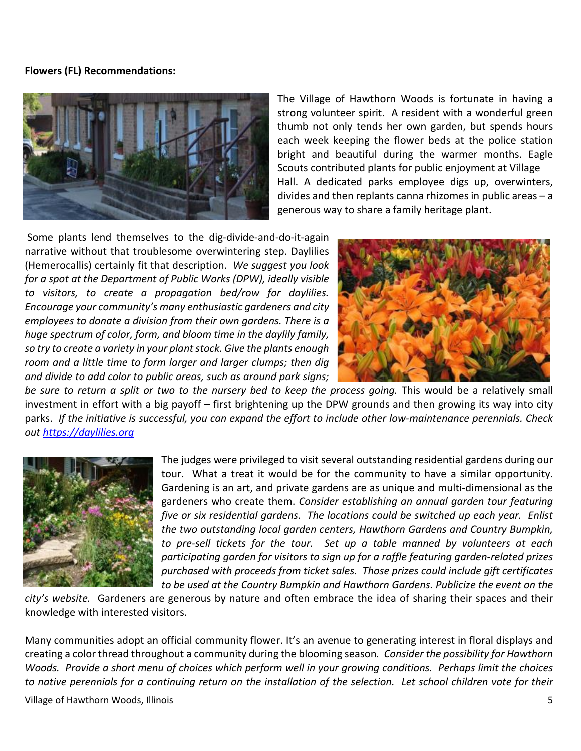### **Flowers (FL) Recommendations:**



The Village of Hawthorn Woods is fortunate in having a strong volunteer spirit. A resident with a wonderful green thumb not only tends her own garden, but spends hours each week keeping the flower beds at the police station bright and beautiful during the warmer months. Eagle Scouts contributed plants for public enjoyment at Village Hall. A dedicated parks employee digs up, overwinters, divides and then replants canna rhizomes in public areas – a generous way to share a family heritage plant.

Some plants lend themselves to the dig-divide-and-do-it-again narrative without that troublesome overwintering step. Daylilies (Hemerocallis) certainly fit that description. *We suggest you look for a spot at the Department of Public Works (DPW), ideally visible to visitors, to create a propagation bed/row for daylilies. Encourage your community's many enthusiastic gardeners and city employees to donate a division from their own gardens. There is a huge spectrum of color, form, and bloom time in the daylily family, so try to create a variety in your plant stock. Give the plants enough room and a little time to form larger and larger clumps; then dig and divide to add color to public areas, such as around park signs;*



be sure to return a split or two to the nursery bed to keep the process going. This would be a relatively small investment in effort with a big payoff – first brightening up the DPW grounds and then growing its way into city parks. *If the initiative is successful, you can expand the effort to include other low-maintenance perennials. Check out [https://daylilies.org](https://daylilies.org/)*



The judges were privileged to visit several outstanding residential gardens during our tour. What a treat it would be for the community to have a similar opportunity. Gardening is an art, and private gardens are as unique and multi-dimensional as the gardeners who create them. *Consider establishing an annual garden tour featuring five or six residential gardens*. *The locations could be switched up each year. Enlist the two outstanding local garden centers, Hawthorn Gardens and Country Bumpkin, to pre-sell tickets for the tour. Set up a table manned by volunteers at each participating garden for visitors to sign up for a raffle featuring garden-related prizes purchased with proceeds from ticket sales. Those prizes could include gift certificates to be used at the Country Bumpkin and Hawthorn Gardens. Publicize the event on the* 

*city's website.* Gardeners are generous by nature and often embrace the idea of sharing their spaces and their knowledge with interested visitors.

Many communities adopt an official community flower. It's an avenue to generating interest in floral displays and creating a color thread throughout a community during the blooming season*. Consider the possibility for Hawthorn Woods. Provide a short menu of choices which perform well in your growing conditions. Perhaps limit the choices to native perennials for a continuing return on the installation of the selection. Let school children vote for their*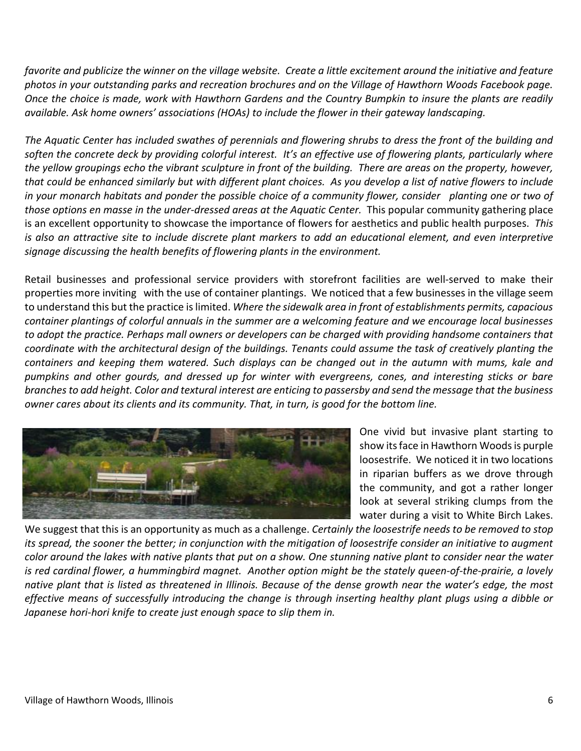*favorite and publicize the winner on the village website. Create a little excitement around the initiative and feature photos in your outstanding parks and recreation brochures and on the Village of Hawthorn Woods Facebook page. Once the choice is made, work with Hawthorn Gardens and the Country Bumpkin to insure the plants are readily available. Ask home owners' associations (HOAs) to include the flower in their gateway landscaping.* 

*The Aquatic Center has included swathes of perennials and flowering shrubs to dress the front of the building and soften the concrete deck by providing colorful interest. It's an effective use of flowering plants, particularly where the yellow groupings echo the vibrant sculpture in front of the building. There are areas on the property, however, that could be enhanced similarly but with different plant choices. As you develop a list of native flowers to include in your monarch habitats and ponder the possible choice of a community flower, consider planting one or two of those options en masse in the under-dressed areas at the Aquatic Center.* This popular community gathering place is an excellent opportunity to showcase the importance of flowers for aesthetics and public health purposes. *This is also an attractive site to include discrete plant markers to add an educational element, and even interpretive signage discussing the health benefits of flowering plants in the environment.*

Retail businesses and professional service providers with storefront facilities are well-served to make their properties more inviting with the use of container plantings.We noticed that a few businesses in the village seem to understand this but the practice is limited. *Where the sidewalk area in front of establishments permits, capacious container plantings of colorful annuals in the summer are a welcoming feature and we encourage local businesses to adopt the practice. Perhaps mall owners or developers can be charged with providing handsome containers that coordinate with the architectural design of the buildings. Tenants could assume the task of creatively planting the containers and keeping them watered. Such displays can be changed out in the autumn with mums, kale and pumpkins and other gourds, and dressed up for winter with evergreens, cones, and interesting sticks or bare branches to add height. Color and textural interest are enticing to passersby and send the message that the business owner cares about its clients and its community. That, in turn, is good for the bottom line.*



One vivid but invasive plant starting to show itsface in Hawthorn Woods is purple loosestrife. We noticed it in two locations in riparian buffers as we drove through the community, and got a rather longer look at several striking clumps from the water during a visit to White Birch Lakes.

We suggest that this is an opportunity as much as a challenge. *Certainly the loosestrife needs to be removed to stop its spread, the sooner the better; in conjunction with the mitigation of loosestrife consider an initiative to augment color around the lakes with native plants that put on a show. One stunning native plant to consider near the water is red cardinal flower, a hummingbird magnet. Another option might be the stately queen-of-the-prairie, a lovely native plant that is listed as threatened in Illinois. Because of the dense growth near the water's edge, the most effective means of successfully introducing the change is through inserting healthy plant plugs using a dibble or Japanese hori-hori knife to create just enough space to slip them in.*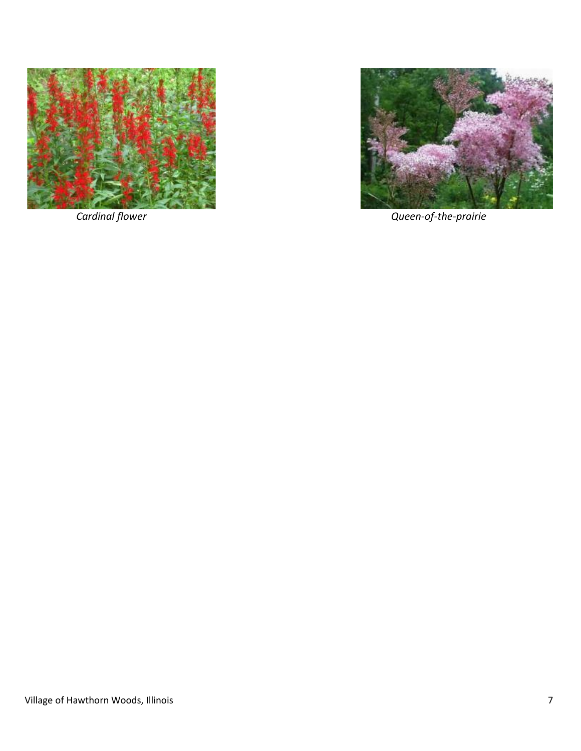



 *Cardinal flower Queen-of-the-prairie*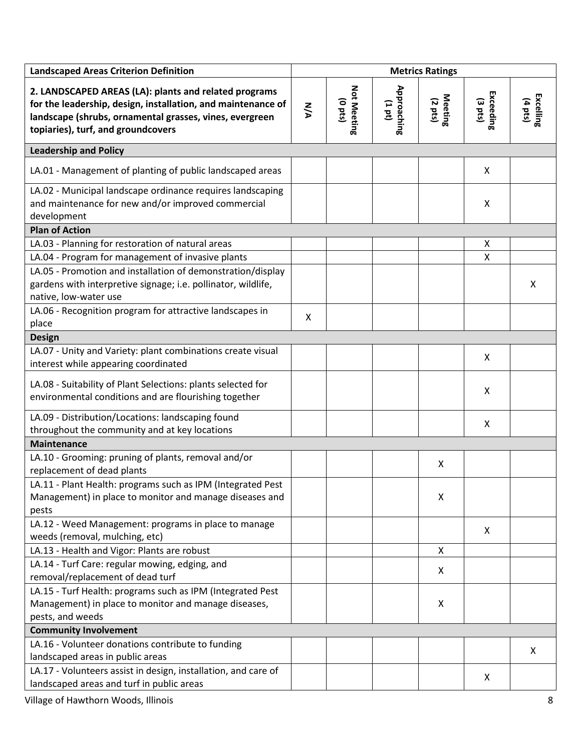| <b>Landscaped Areas Criterion Definition</b>                                                                                                                                                                           | <b>Metrics Ratings</b> |                                         |                          |                    |                      |                      |
|------------------------------------------------------------------------------------------------------------------------------------------------------------------------------------------------------------------------|------------------------|-----------------------------------------|--------------------------|--------------------|----------------------|----------------------|
| 2. LANDSCAPED AREAS (LA): plants and related programs<br>for the leadership, design, installation, and maintenance of<br>landscape (shrubs, ornamental grasses, vines, evergreen<br>topiaries), turf, and groundcovers | <b>N/A</b>             | <b>Not Meeting</b><br>$(0 \text{ pts})$ | Approaching<br>$(1 d_1)$ | Meeting<br>(2 pts) | Exceeding<br>(3 pts) | Excelling<br>(4 pts) |
| <b>Leadership and Policy</b>                                                                                                                                                                                           |                        |                                         |                          |                    |                      |                      |
| LA.01 - Management of planting of public landscaped areas                                                                                                                                                              |                        |                                         |                          |                    | X                    |                      |
| LA.02 - Municipal landscape ordinance requires landscaping<br>and maintenance for new and/or improved commercial<br>development                                                                                        |                        |                                         |                          |                    | $\pmb{\times}$       |                      |
| <b>Plan of Action</b>                                                                                                                                                                                                  |                        |                                         |                          |                    |                      |                      |
| LA.03 - Planning for restoration of natural areas                                                                                                                                                                      |                        |                                         |                          |                    | X                    |                      |
| LA.04 - Program for management of invasive plants                                                                                                                                                                      |                        |                                         |                          |                    | X                    |                      |
| LA.05 - Promotion and installation of demonstration/display<br>gardens with interpretive signage; i.e. pollinator, wildlife,<br>native, low-water use                                                                  |                        |                                         |                          |                    |                      | X                    |
| LA.06 - Recognition program for attractive landscapes in<br>place                                                                                                                                                      | X                      |                                         |                          |                    |                      |                      |
| <b>Design</b>                                                                                                                                                                                                          |                        |                                         |                          |                    |                      |                      |
| LA.07 - Unity and Variety: plant combinations create visual<br>interest while appearing coordinated                                                                                                                    |                        |                                         |                          |                    | X                    |                      |
| LA.08 - Suitability of Plant Selections: plants selected for<br>environmental conditions and are flourishing together                                                                                                  |                        |                                         |                          |                    | X                    |                      |
| LA.09 - Distribution/Locations: landscaping found<br>throughout the community and at key locations                                                                                                                     |                        |                                         |                          |                    | X                    |                      |
| <b>Maintenance</b>                                                                                                                                                                                                     |                        |                                         |                          |                    |                      |                      |
| LA.10 - Grooming: pruning of plants, removal and/or<br>replacement of dead plants                                                                                                                                      |                        |                                         |                          | X                  |                      |                      |
| LA.11 - Plant Health: programs such as IPM (Integrated Pest)<br>Management) in place to monitor and manage diseases and<br>pests                                                                                       |                        |                                         |                          | Х                  |                      |                      |
| LA.12 - Weed Management: programs in place to manage<br>weeds (removal, mulching, etc)                                                                                                                                 |                        |                                         |                          |                    | X                    |                      |
| LA.13 - Health and Vigor: Plants are robust                                                                                                                                                                            |                        |                                         |                          | X                  |                      |                      |
| LA.14 - Turf Care: regular mowing, edging, and<br>removal/replacement of dead turf                                                                                                                                     |                        |                                         |                          | X                  |                      |                      |
| LA.15 - Turf Health: programs such as IPM (Integrated Pest<br>Management) in place to monitor and manage diseases,<br>pests, and weeds                                                                                 |                        |                                         |                          | Х                  |                      |                      |
| <b>Community Involvement</b>                                                                                                                                                                                           |                        |                                         |                          |                    |                      |                      |
| LA.16 - Volunteer donations contribute to funding<br>landscaped areas in public areas                                                                                                                                  |                        |                                         |                          |                    |                      | X                    |
| LA.17 - Volunteers assist in design, installation, and care of<br>landscaped areas and turf in public areas                                                                                                            |                        |                                         |                          |                    | X                    |                      |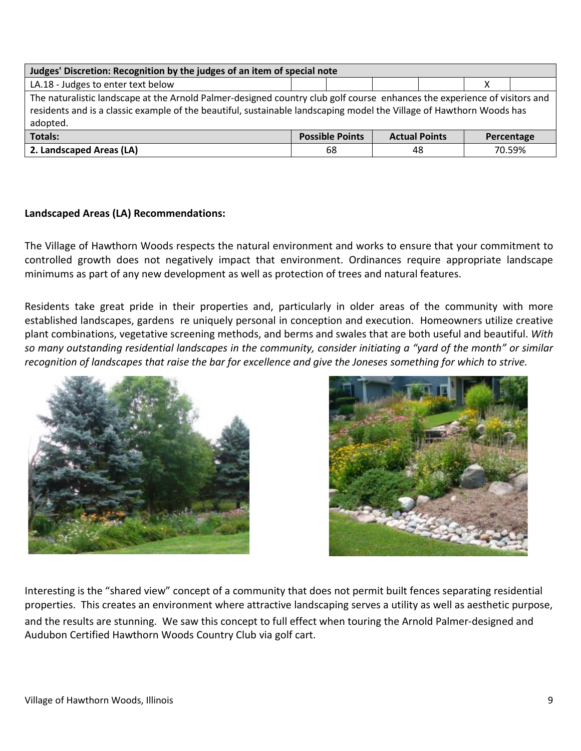| Judges' Discretion: Recognition by the judges of an item of special note                                                                                                                                                                                      |    |  |    |  |  |        |  |  |  |
|---------------------------------------------------------------------------------------------------------------------------------------------------------------------------------------------------------------------------------------------------------------|----|--|----|--|--|--------|--|--|--|
| LA.18 - Judges to enter text below                                                                                                                                                                                                                            |    |  |    |  |  |        |  |  |  |
| The naturalistic landscape at the Arnold Palmer-designed country club golf course enhances the experience of visitors and<br>residents and is a classic example of the beautiful, sustainable landscaping model the Village of Hawthorn Woods has<br>adopted. |    |  |    |  |  |        |  |  |  |
| Totals:<br><b>Possible Points</b><br><b>Actual Points</b><br>Percentage                                                                                                                                                                                       |    |  |    |  |  |        |  |  |  |
| 2. Landscaped Areas (LA)                                                                                                                                                                                                                                      | 68 |  | 48 |  |  | 70.59% |  |  |  |

# **Landscaped Areas (LA) Recommendations:**

The Village of Hawthorn Woods respects the natural environment and works to ensure that your commitment to controlled growth does not negatively impact that environment. Ordinances require appropriate landscape minimums as part of any new development as well as protection of trees and natural features.

Residents take great pride in their properties and, particularly in older areas of the community with more established landscapes, gardens re uniquely personal in conception and execution. Homeowners utilize creative plant combinations, vegetative screening methods, and berms and swales that are both useful and beautiful. *With so many outstanding residential landscapes in the community, consider initiating a "yard of the month" or similar recognition of landscapes that raise the bar for excellence and give the Joneses something for which to strive.*





Interesting is the "shared view" concept of a community that does not permit built fences separating residential properties. This creates an environment where attractive landscaping serves a utility as well as aesthetic purpose, and the results are stunning. We saw this concept to full effect when touring the Arnold Palmer-designed and Audubon Certified Hawthorn Woods Country Club via golf cart.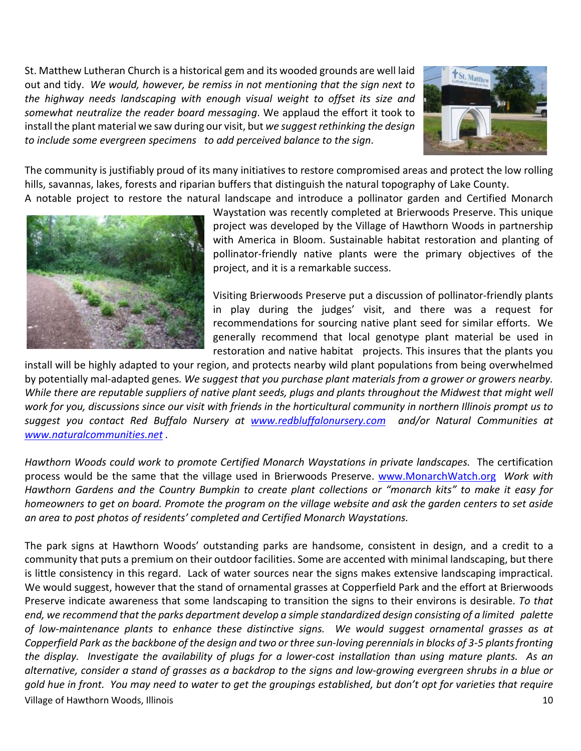St. Matthew Lutheran Church is a historical gem and its wooded grounds are well laid out and tidy. *We would, however, be remiss in not mentioning that the sign next to the highway needs landscaping with enough visual weight to offset its size and somewhat neutralize the reader board messaging*. We applaud the effort it took to install the plant material we saw during our visit, but *we suggest rethinking the design to include some evergreen specimens to add perceived balance to the sign*.



The community is justifiably proud of its many initiatives to restore compromised areas and protect the low rolling hills, savannas, lakes, forests and riparian buffers that distinguish the natural topography of Lake County. A notable project to restore the natural landscape and introduce a pollinator garden and Certified Monarch



Waystation was recently completed at Brierwoods Preserve. This unique project was developed by the Village of Hawthorn Woods in partnership with America in Bloom. Sustainable habitat restoration and planting of pollinator-friendly native plants were the primary objectives of the project, and it is a remarkable success.

Visiting Brierwoods Preserve put a discussion of pollinator-friendly plants in play during the judges' visit, and there was a request for recommendations for sourcing native plant seed for similar efforts. We generally recommend that local genotype plant material be used in restoration and native habitat projects. This insures that the plants you

install will be highly adapted to your region, and protects nearby wild plant populations from being overwhelmed by potentially mal-adapted genes*. We suggest that you purchase plant materials from a grower or growers nearby. While there are reputable suppliers of native plant seeds, plugs and plants throughout the Midwest that might well work for you, discussions since our visit with friends in the horticultural community in northern Illinois prompt us to suggest you contact Red Buffalo Nursery at [www.redbluffalonursery.com](http://www.redbluffalonursery.com/) and/or Natural Communities at [www.naturalcommunities.net](http://www.naturalcommunities.net/) .*

*Hawthorn Woods could work to promote Certified Monarch Waystations in private landscapes.* The certification process would be the same that the village used in Brierwoods Preserve. [www.MonarchWatch.org](http://www.monarchwatch.org/) *Work with Hawthorn Gardens and the Country Bumpkin to create plant collections or "monarch kits" to make it easy for homeowners to get on board. Promote the program on the village website and ask the garden centers to set aside an area to post photos of residents' completed and Certified Monarch Waystations.*

Village of Hawthorn Woods, Illinois 10 The park signs at Hawthorn Woods' outstanding parks are handsome, consistent in design, and a credit to a community that puts a premium on their outdoor facilities. Some are accented with minimal landscaping, but there is little consistency in this regard. Lack of water sources near the signs makes extensive landscaping impractical. We would suggest, however that the stand of ornamental grasses at Copperfield Park and the effort at Brierwoods Preserve indicate awareness that some landscaping to transition the signs to their environs is desirable. *To that end, we recommend that the parks department develop a simple standardized design consisting of a limited palette of low-maintenance plants to enhance these distinctive signs. We would suggest ornamental grasses as at*  Copperfield Park as the backbone of the design and two or three sun-loving perennials in blocks of 3-5 plants fronting *the display. Investigate the availability of plugs for a lower-cost installation than using mature plants. As an alternative, consider a stand of grasses as a backdrop to the signs and low-growing evergreen shrubs in a blue or gold hue in front. You may need to water to get the groupings established, but don't opt for varieties that require*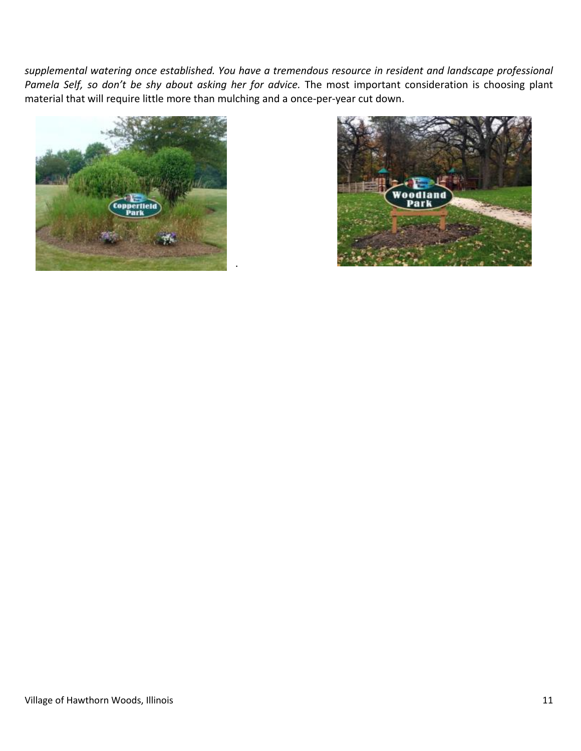*supplemental watering once established. You have a tremendous resource in resident and landscape professional Pamela Self, so don't be shy about asking her for advice.* The most important consideration is choosing plant material that will require little more than mulching and a once-per-year cut down.

.



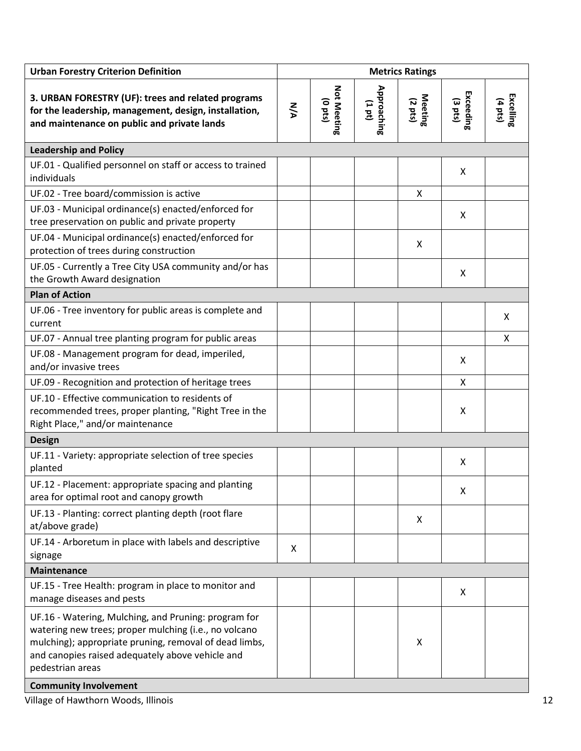| <b>Urban Forestry Criterion Definition</b>                                                                                                                                                                                                                                      | <b>Metrics Ratings</b> |                                 |                      |                    |                                |                      |
|---------------------------------------------------------------------------------------------------------------------------------------------------------------------------------------------------------------------------------------------------------------------------------|------------------------|---------------------------------|----------------------|--------------------|--------------------------------|----------------------|
| 3. URBAN FORESTRY (UF): trees and related programs<br>for the leadership, management, design, installation,<br>and maintenance on public and private lands                                                                                                                      | <b>N/A</b>             | Not Meeting<br>$(0 \text{ pt})$ | Approaching<br>(101) | Meeting<br>(2 pts) | Exceeding<br>$(3 \text{ pts})$ | Excelling<br>(4 pts) |
| <b>Leadership and Policy</b>                                                                                                                                                                                                                                                    |                        |                                 |                      |                    |                                |                      |
| UF.01 - Qualified personnel on staff or access to trained<br>individuals                                                                                                                                                                                                        |                        |                                 |                      |                    | X                              |                      |
| UF.02 - Tree board/commission is active                                                                                                                                                                                                                                         |                        |                                 |                      | X                  |                                |                      |
| UF.03 - Municipal ordinance(s) enacted/enforced for<br>tree preservation on public and private property                                                                                                                                                                         |                        |                                 |                      |                    | X                              |                      |
| UF.04 - Municipal ordinance(s) enacted/enforced for<br>protection of trees during construction                                                                                                                                                                                  |                        |                                 |                      | X                  |                                |                      |
| UF.05 - Currently a Tree City USA community and/or has<br>the Growth Award designation                                                                                                                                                                                          |                        |                                 |                      |                    | X                              |                      |
| <b>Plan of Action</b>                                                                                                                                                                                                                                                           |                        |                                 |                      |                    |                                |                      |
| UF.06 - Tree inventory for public areas is complete and<br>current                                                                                                                                                                                                              |                        |                                 |                      |                    |                                | X                    |
| UF.07 - Annual tree planting program for public areas                                                                                                                                                                                                                           |                        |                                 |                      |                    |                                | X                    |
| UF.08 - Management program for dead, imperiled,<br>and/or invasive trees                                                                                                                                                                                                        |                        |                                 |                      |                    | X                              |                      |
| UF.09 - Recognition and protection of heritage trees                                                                                                                                                                                                                            |                        |                                 |                      |                    | X                              |                      |
| UF.10 - Effective communication to residents of<br>recommended trees, proper planting, "Right Tree in the<br>Right Place," and/or maintenance                                                                                                                                   |                        |                                 |                      |                    | X                              |                      |
| <b>Design</b>                                                                                                                                                                                                                                                                   |                        |                                 |                      |                    |                                |                      |
| UF.11 - Variety: appropriate selection of tree species<br>planted                                                                                                                                                                                                               |                        |                                 |                      |                    | X                              |                      |
| UF.12 - Placement: appropriate spacing and planting<br>area for optimal root and canopy growth                                                                                                                                                                                  |                        |                                 |                      |                    | Χ                              |                      |
| UF.13 - Planting: correct planting depth (root flare<br>at/above grade)                                                                                                                                                                                                         |                        |                                 |                      | X                  |                                |                      |
| UF.14 - Arboretum in place with labels and descriptive<br>signage                                                                                                                                                                                                               | X                      |                                 |                      |                    |                                |                      |
| <b>Maintenance</b>                                                                                                                                                                                                                                                              |                        |                                 |                      |                    |                                |                      |
| UF.15 - Tree Health: program in place to monitor and<br>manage diseases and pests                                                                                                                                                                                               |                        |                                 |                      |                    | X                              |                      |
| UF.16 - Watering, Mulching, and Pruning: program for<br>watering new trees; proper mulching (i.e., no volcano<br>mulching); appropriate pruning, removal of dead limbs,<br>and canopies raised adequately above vehicle and<br>pedestrian areas<br><b>Community Involvement</b> |                        |                                 |                      | X                  |                                |                      |

Village of Hawthorn Woods, Illinois 12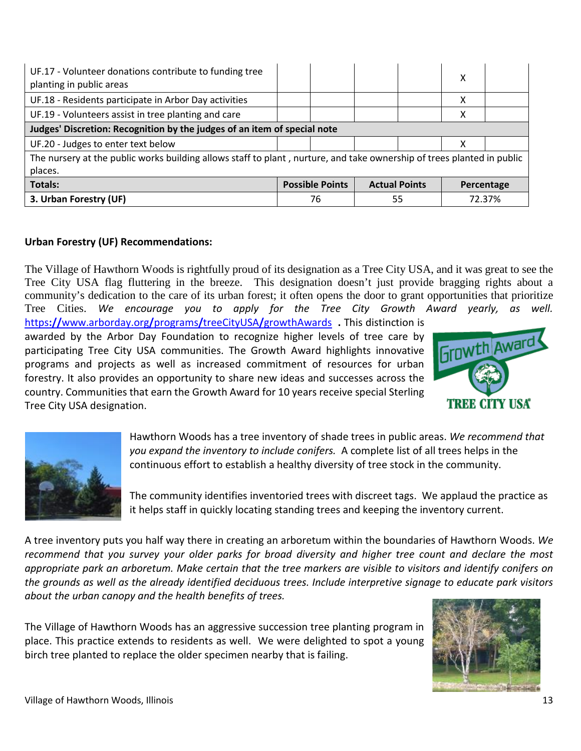| UF.17 - Volunteer donations contribute to funding tree<br>planting in public areas                                     |  |                                                              |    |  | χ |        |  |  |
|------------------------------------------------------------------------------------------------------------------------|--|--------------------------------------------------------------|----|--|---|--------|--|--|
| UF.18 - Residents participate in Arbor Day activities                                                                  |  |                                                              |    |  | x |        |  |  |
| UF.19 - Volunteers assist in tree planting and care                                                                    |  |                                                              |    |  | х |        |  |  |
| Judges' Discretion: Recognition by the judges of an item of special note                                               |  |                                                              |    |  |   |        |  |  |
| UF.20 - Judges to enter text below                                                                                     |  |                                                              |    |  | х |        |  |  |
| The nursery at the public works building allows staff to plant, nurture, and take ownership of trees planted in public |  |                                                              |    |  |   |        |  |  |
| places.                                                                                                                |  |                                                              |    |  |   |        |  |  |
| <b>Totals:</b>                                                                                                         |  | <b>Possible Points</b><br><b>Actual Points</b><br>Percentage |    |  |   |        |  |  |
| 3. Urban Forestry (UF)                                                                                                 |  | 76                                                           | 55 |  |   | 72.37% |  |  |

## **Urban Forestry (UF) Recommendations:**

The Village of Hawthorn Woods is rightfully proud of its designation as a Tree City USA, and it was great to see the Tree City USA flag fluttering in the breeze. This designation doesn't just provide bragging rights about a community's dedication to the care of its urban forest; it often opens the door to grant opportunities that prioritize Tree Cities. *We encourage you to apply for the Tree City Growth Award yearly, as well.*

https**://**[www.arborday.org](https://www.arborday.org/programs/treeCityUSA/growthAwards)**/**programs**/**treeCityUSA**/**growthAwards **.** This distinction is awarded by the Arbor Day Foundation to recognize higher levels of tree care by participating Tree City USA communities. The Growth Award highlights innovative programs and projects as well as increased commitment of resources for urban forestry. It also provides an opportunity to share new ideas and successes across the country. Communities that earn the Growth Award for 10 years receive special Sterling Tree City USA designation.





Hawthorn Woods has a tree inventory of shade trees in public areas. *We recommend that you expand the inventory to include conifers.* A complete list of all trees helps in the continuous effort to establish a healthy diversity of tree stock in the community.

The community identifies inventoried trees with discreet tags. We applaud the practice as it helps staff in quickly locating standing trees and keeping the inventory current.

A tree inventory puts you half way there in creating an arboretum within the boundaries of Hawthorn Woods. *We recommend that you survey your older parks for broad diversity and higher tree count and declare the most appropriate park an arboretum. Make certain that the tree markers are visible to visitors and identify conifers on the grounds as well as the already identified deciduous trees. Include interpretive signage to educate park visitors about the urban canopy and the health benefits of trees.*

The Village of Hawthorn Woods has an aggressive succession tree planting program in place. This practice extends to residents as well. We were delighted to spot a young birch tree planted to replace the older specimen nearby that is failing.

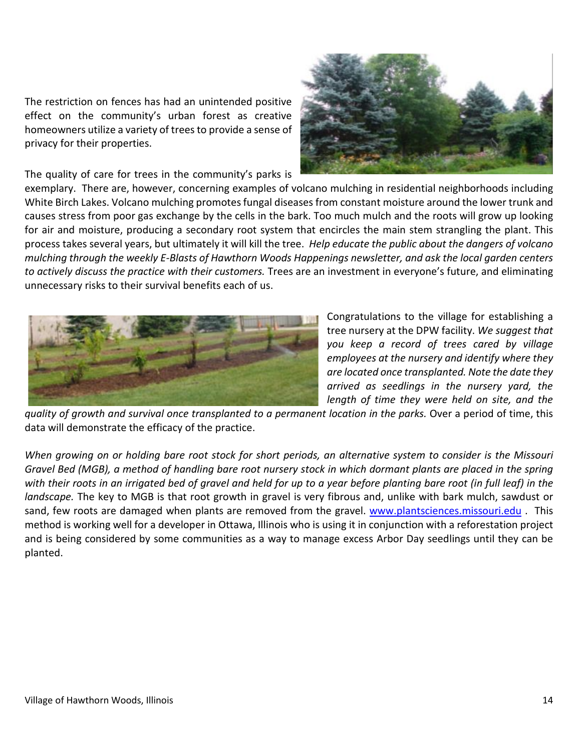The restriction on fences has had an unintended positive effect on the community's urban forest as creative homeowners utilize a variety of trees to provide a sense of privacy for their properties.

The quality of care for trees in the community's parks is



exemplary. There are, however, concerning examples of volcano mulching in residential neighborhoods including White Birch Lakes. Volcano mulching promotes fungal diseases from constant moisture around the lower trunk and causes stress from poor gas exchange by the cells in the bark. Too much mulch and the roots will grow up looking for air and moisture, producing a secondary root system that encircles the main stem strangling the plant. This process takes several years, but ultimately it will kill the tree. *Help educate the public about the dangers of volcano mulching through the weekly E-Blasts of Hawthorn Woods Happenings newsletter, and ask the local garden centers to actively discuss the practice with their customers.* Trees are an investment in everyone's future, and eliminating unnecessary risks to their survival benefits each of us.



Congratulations to the village for establishing a tree nursery at the DPW facility. *We suggest that you keep a record of trees cared by village employees at the nursery and identify where they are located once transplanted. Note the date they arrived as seedlings in the nursery yard, the length of time they were held on site, and the* 

*quality of growth and survival once transplanted to a permanent location in the parks.* Over a period of time, this data will demonstrate the efficacy of the practice.

*When growing on or holding bare root stock for short periods, an alternative system to consider is the Missouri Gravel Bed (MGB), a method of handling bare root nursery stock in which dormant plants are placed in the spring with their roots in an irrigated bed of gravel and held for up to a year before planting bare root (in full leaf) in the landscape.* The key to MGB is that root growth in gravel is very fibrous and, unlike with bark mulch, sawdust or sand, few roots are damaged when plants are removed from the gravel. [www.plantsciences.missouri.edu](http://www.plantsciences.missouri.edu/) . This method is working well for a developer in Ottawa, Illinois who is using it in conjunction with a reforestation project and is being considered by some communities as a way to manage excess Arbor Day seedlings until they can be planted.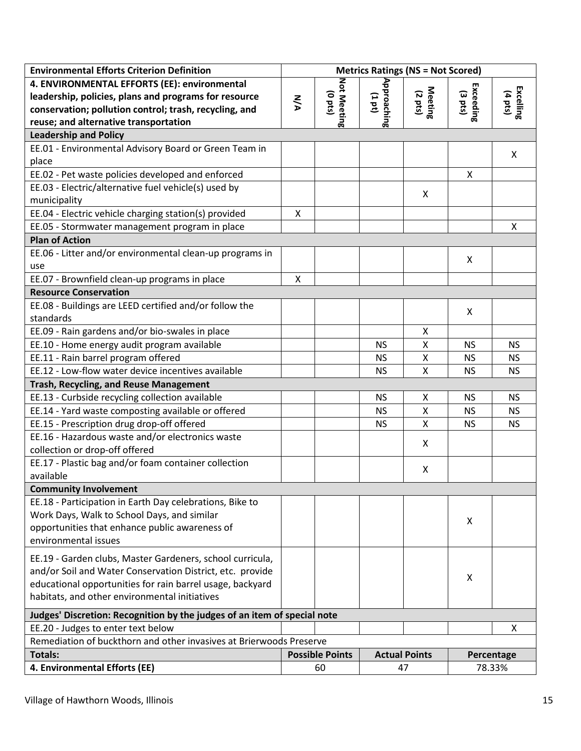| <b>Environmental Efforts Criterion Definition</b>                        |           |                        |                      | <b>Metrics Ratings (NS = Not Scored)</b> |           |                      |
|--------------------------------------------------------------------------|-----------|------------------------|----------------------|------------------------------------------|-----------|----------------------|
| 4. ENVIRONMENTAL EFFORTS (EE): environmental                             |           |                        |                      |                                          |           |                      |
| leadership, policies, plans and programs for resource                    | <b>NA</b> | $(0$ pts $)$           | (101)                |                                          | (3 pts)   |                      |
| conservation; pollution control; trash, recycling, and                   |           | Not Meeting            | Approaching          | Meeting<br>(2 pts)                       | Exceeding | Excelling<br>(4 pts) |
| reuse; and alternative transportation                                    |           |                        |                      |                                          |           |                      |
| <b>Leadership and Policy</b>                                             |           |                        |                      |                                          |           |                      |
| EE.01 - Environmental Advisory Board or Green Team in                    |           |                        |                      |                                          |           | X                    |
| place                                                                    |           |                        |                      |                                          |           |                      |
| EE.02 - Pet waste policies developed and enforced                        |           |                        |                      |                                          | X         |                      |
| EE.03 - Electric/alternative fuel vehicle(s) used by                     |           |                        |                      | Χ                                        |           |                      |
| municipality                                                             |           |                        |                      |                                          |           |                      |
| EE.04 - Electric vehicle charging station(s) provided                    | X         |                        |                      |                                          |           |                      |
| EE.05 - Stormwater management program in place                           |           |                        |                      |                                          |           | Χ                    |
| <b>Plan of Action</b>                                                    |           |                        |                      |                                          |           |                      |
| EE.06 - Litter and/or environmental clean-up programs in<br>use          |           |                        |                      |                                          | X         |                      |
| EE.07 - Brownfield clean-up programs in place                            | X         |                        |                      |                                          |           |                      |
| <b>Resource Conservation</b>                                             |           |                        |                      |                                          |           |                      |
| EE.08 - Buildings are LEED certified and/or follow the                   |           |                        |                      |                                          |           |                      |
| standards                                                                |           |                        |                      |                                          | X         |                      |
| EE.09 - Rain gardens and/or bio-swales in place                          |           |                        |                      | Χ                                        |           |                      |
| EE.10 - Home energy audit program available                              |           |                        | <b>NS</b>            | X                                        | <b>NS</b> | <b>NS</b>            |
| EE.11 - Rain barrel program offered                                      |           |                        | <b>NS</b>            | X                                        | <b>NS</b> | <b>NS</b>            |
| EE.12 - Low-flow water device incentives available                       |           |                        | <b>NS</b>            | Χ                                        | <b>NS</b> | <b>NS</b>            |
| Trash, Recycling, and Reuse Management                                   |           |                        |                      |                                          |           |                      |
| EE.13 - Curbside recycling collection available                          |           |                        | <b>NS</b>            | Χ                                        | <b>NS</b> | <b>NS</b>            |
| EE.14 - Yard waste composting available or offered                       |           |                        | <b>NS</b>            | X                                        | <b>NS</b> | <b>NS</b>            |
| EE.15 - Prescription drug drop-off offered                               |           |                        | <b>NS</b>            | X                                        | <b>NS</b> | <b>NS</b>            |
| EE.16 - Hazardous waste and/or electronics waste                         |           |                        |                      |                                          |           |                      |
| collection or drop-off offered                                           |           |                        |                      | X                                        |           |                      |
| EE.17 - Plastic bag and/or foam container collection                     |           |                        |                      |                                          |           |                      |
| available                                                                |           |                        |                      | Χ                                        |           |                      |
| <b>Community Involvement</b>                                             |           |                        |                      |                                          |           |                      |
| EE.18 - Participation in Earth Day celebrations, Bike to                 |           |                        |                      |                                          |           |                      |
| Work Days, Walk to School Days, and similar                              |           |                        |                      |                                          | X         |                      |
| opportunities that enhance public awareness of                           |           |                        |                      |                                          |           |                      |
| environmental issues                                                     |           |                        |                      |                                          |           |                      |
| EE.19 - Garden clubs, Master Gardeners, school curricula,                |           |                        |                      |                                          |           |                      |
| and/or Soil and Water Conservation District, etc. provide                |           |                        |                      |                                          |           |                      |
| educational opportunities for rain barrel usage, backyard                |           |                        |                      |                                          | Χ         |                      |
| habitats, and other environmental initiatives                            |           |                        |                      |                                          |           |                      |
| Judges' Discretion: Recognition by the judges of an item of special note |           |                        |                      |                                          |           |                      |
| EE.20 - Judges to enter text below                                       |           |                        |                      |                                          |           | X                    |
| Remediation of buckthorn and other invasives at Brierwoods Preserve      |           |                        |                      |                                          |           |                      |
| <b>Totals:</b>                                                           |           | <b>Possible Points</b> | <b>Actual Points</b> |                                          |           | Percentage           |
| 4. Environmental Efforts (EE)                                            |           | 60                     |                      | 47                                       |           | 78.33%               |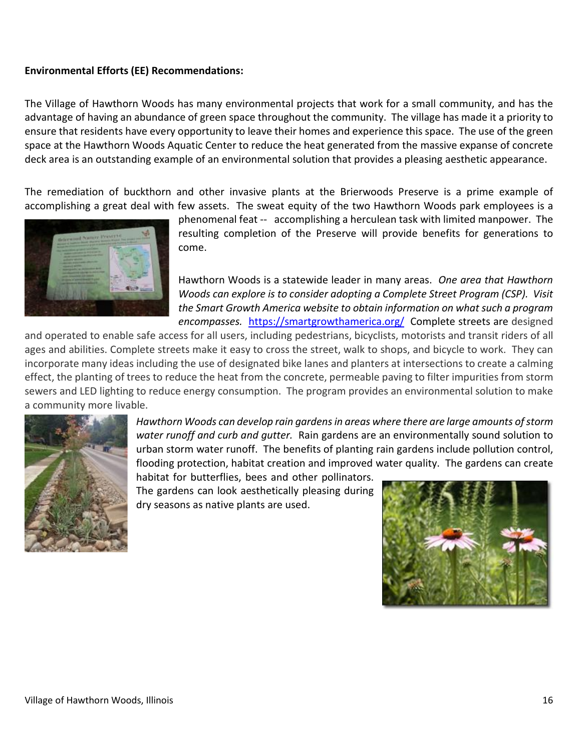## **Environmental Efforts (EE) Recommendations:**

The Village of Hawthorn Woods has many environmental projects that work for a small community, and has the advantage of having an abundance of green space throughout the community. The village has made it a priority to ensure that residents have every opportunity to leave their homes and experience this space. The use of the green space at the Hawthorn Woods Aquatic Center to reduce the heat generated from the massive expanse of concrete deck area is an outstanding example of an environmental solution that provides a pleasing aesthetic appearance.

The remediation of buckthorn and other invasive plants at the Brierwoods Preserve is a prime example of accomplishing a great deal with few assets. The sweat equity of the two Hawthorn Woods park employees is a



phenomenal feat -- accomplishing a herculean task with limited manpower. The resulting completion of the Preserve will provide benefits for generations to come.

Hawthorn Woods is a statewide leader in many areas. *One area that Hawthorn Woods can explore is to consider adopting a Complete Street Program (CSP). Visit the Smart Growth America website to obtain information on what such a program encompasses.* <https://smartgrowthamerica.org/> Complete streets are designed

and operated to enable safe access for all users, including pedestrians, bicyclists, motorists and transit riders of all ages and abilities. Complete streets make it easy to cross the street, walk to shops, and bicycle to work. They can incorporate many ideas including the use of designated bike lanes and planters at intersections to create a calming effect, the planting of trees to reduce the heat from the concrete, permeable paving to filter impurities from storm sewers and LED lighting to reduce energy consumption. The program provides an environmental solution to make a community more livable.



*Hawthorn Woods can develop rain gardens in areas where there are large amounts of storm water runoff and curb and gutter.* Rain gardens are an environmentally sound solution to urban storm water runoff. The benefits of planting rain gardens include pollution control, flooding protection, habitat creation and improved water quality. The gardens can create

habitat for butterflies, bees and other pollinators. The gardens can look aesthetically pleasing during dry seasons as native plants are used.

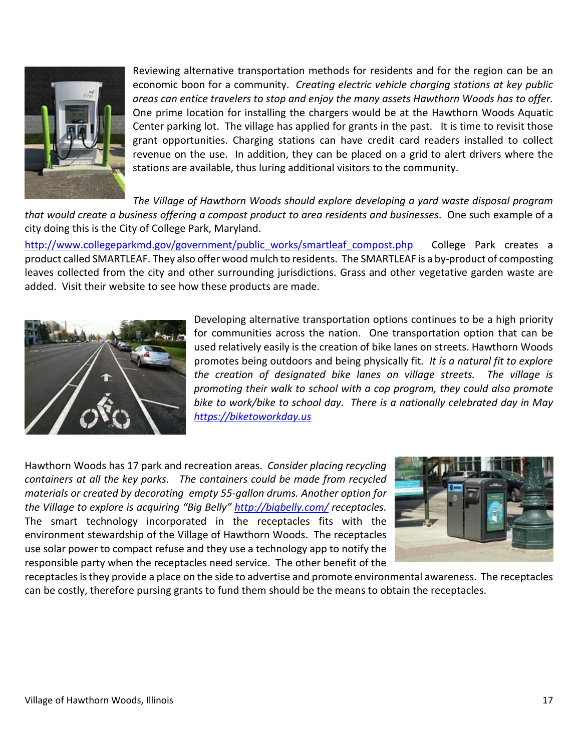

Reviewing alternative transportation methods for residents and for the region can be an economic boon for a community. *Creating electric vehicle charging stations at key public areas can entice travelers to stop and enjoy the many assets Hawthorn Woods has to offer.*  One prime location for installing the chargers would be at the Hawthorn Woods Aquatic Center parking lot. The village has applied for grants in the past. It is time to revisit those grant opportunities. Charging stations can have credit card readers installed to collect revenue on the use. In addition, they can be placed on a grid to alert drivers where the stations are available, thus luring additional visitors to the community.

*The Village of Hawthorn Woods should explore developing a yard waste disposal program that would create a business offering a compost product to area residents and businesses*. One such example of a city doing this is the City of College Park, Maryland.

[http://www.collegeparkmd.gov/government/public\\_works/smartleaf\\_compost.php](http://www.collegeparkmd.gov/government/public_works/smartleaf_compost.php) College Park creates a product called SMARTLEAF. They also offer wood mulch to residents. The SMARTLEAF is a by-product of composting leaves collected from the city and other surrounding jurisdictions. Grass and other vegetative garden waste are added. Visit their website to see how these products are made.



Developing alternative transportation options continues to be a high priority for communities across the nation. One transportation option that can be used relatively easily is the creation of bike lanes on streets. Hawthorn Woods promotes being outdoors and being physically fit*. It is a natural fit to explore the creation of designated bike lanes on village streets. The village is promoting their walk to school with a cop program, they could also promote bike to work/bike to school day. There is a nationally celebrated day in May [https://biketoworkday.us](https://biketoworkday.us/)* 

Hawthorn Woods has 17 park and recreation areas. *Consider placing recycling containers at all the key parks. The containers could be made from recycled materials or created by decorating empty 55-gallon drums. Another option for the Village to explore is acquiring "Big Belly"<http://bigbelly.com/> receptacles.* The smart technology incorporated in the receptacles fits with the environment stewardship of the Village of Hawthorn Woods. The receptacles use solar power to compact refuse and they use a technology app to notify the responsible party when the receptacles need service. The other benefit of the



receptacles is they provide a place on the side to advertise and promote environmental awareness. The receptacles can be costly, therefore pursing grants to fund them should be the means to obtain the receptacles.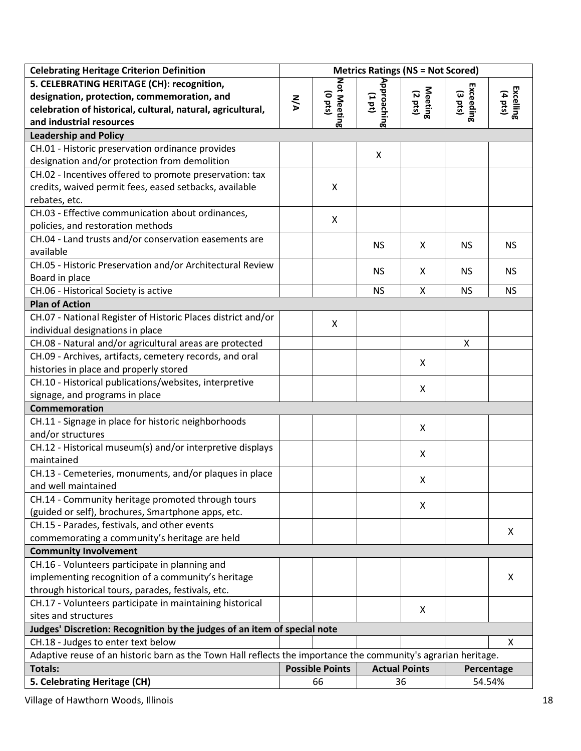| <b>Celebrating Heritage Criterion Definition</b>                                                               | <b>Metrics Ratings (NS = Not Scored)</b> |                             |                      |                           |                      |                      |
|----------------------------------------------------------------------------------------------------------------|------------------------------------------|-----------------------------|----------------------|---------------------------|----------------------|----------------------|
| 5. CELEBRATING HERITAGE (CH): recognition,                                                                     |                                          |                             |                      |                           |                      |                      |
| designation, protection, commemoration, and                                                                    | <b>NA</b>                                | Not Meeting<br>$(0$ pts $)$ | Approaching<br>(101) | Meeting<br>(2 pts)        | Exceeding<br>(3 pts) | Excelling<br>(4 pts) |
| celebration of historical, cultural, natural, agricultural,                                                    |                                          |                             |                      |                           |                      |                      |
| and industrial resources                                                                                       |                                          |                             |                      |                           |                      |                      |
| <b>Leadership and Policy</b>                                                                                   |                                          |                             |                      |                           |                      |                      |
| CH.01 - Historic preservation ordinance provides                                                               |                                          |                             | X                    |                           |                      |                      |
| designation and/or protection from demolition                                                                  |                                          |                             |                      |                           |                      |                      |
| CH.02 - Incentives offered to promote preservation: tax                                                        |                                          |                             |                      |                           |                      |                      |
| credits, waived permit fees, eased setbacks, available                                                         |                                          | X                           |                      |                           |                      |                      |
| rebates, etc.                                                                                                  |                                          |                             |                      |                           |                      |                      |
| CH.03 - Effective communication about ordinances,                                                              |                                          | X                           |                      |                           |                      |                      |
| policies, and restoration methods                                                                              |                                          |                             |                      |                           |                      |                      |
| CH.04 - Land trusts and/or conservation easements are                                                          |                                          |                             | <b>NS</b>            | X                         | <b>NS</b>            | <b>NS</b>            |
| available                                                                                                      |                                          |                             |                      |                           |                      |                      |
| CH.05 - Historic Preservation and/or Architectural Review                                                      |                                          |                             | <b>NS</b>            | X                         | <b>NS</b>            | <b>NS</b>            |
| Board in place                                                                                                 |                                          |                             |                      |                           |                      |                      |
| CH.06 - Historical Society is active                                                                           |                                          |                             | <b>NS</b>            | X                         | <b>NS</b>            | <b>NS</b>            |
| <b>Plan of Action</b>                                                                                          |                                          |                             |                      |                           |                      |                      |
| CH.07 - National Register of Historic Places district and/or                                                   |                                          | X                           |                      |                           |                      |                      |
| individual designations in place                                                                               |                                          |                             |                      |                           |                      |                      |
| CH.08 - Natural and/or agricultural areas are protected                                                        |                                          |                             |                      |                           | X                    |                      |
| CH.09 - Archives, artifacts, cemetery records, and oral                                                        |                                          |                             |                      | X                         |                      |                      |
| histories in place and properly stored                                                                         |                                          |                             |                      |                           |                      |                      |
| CH.10 - Historical publications/websites, interpretive                                                         |                                          |                             |                      | X                         |                      |                      |
| signage, and programs in place                                                                                 |                                          |                             |                      |                           |                      |                      |
| Commemoration                                                                                                  |                                          |                             |                      |                           |                      |                      |
| CH.11 - Signage in place for historic neighborhoods                                                            |                                          |                             |                      | $\boldsymbol{\mathsf{X}}$ |                      |                      |
| and/or structures                                                                                              |                                          |                             |                      |                           |                      |                      |
| CH.12 - Historical museum(s) and/or interpretive displays                                                      |                                          |                             |                      | X                         |                      |                      |
| maintained                                                                                                     |                                          |                             |                      |                           |                      |                      |
| CH.13 - Cemeteries, monuments, and/or plaques in place                                                         |                                          |                             |                      | X                         |                      |                      |
| and well maintained                                                                                            |                                          |                             |                      |                           |                      |                      |
| CH.14 - Community heritage promoted through tours                                                              |                                          |                             |                      | X                         |                      |                      |
| (guided or self), brochures, Smartphone apps, etc.                                                             |                                          |                             |                      |                           |                      |                      |
| CH.15 - Parades, festivals, and other events                                                                   |                                          |                             |                      |                           |                      | X                    |
| commemorating a community's heritage are held                                                                  |                                          |                             |                      |                           |                      |                      |
| <b>Community Involvement</b>                                                                                   |                                          |                             |                      |                           |                      |                      |
| CH.16 - Volunteers participate in planning and                                                                 |                                          |                             |                      |                           |                      |                      |
| implementing recognition of a community's heritage                                                             |                                          |                             |                      |                           |                      | X                    |
| through historical tours, parades, festivals, etc.                                                             |                                          |                             |                      |                           |                      |                      |
| CH.17 - Volunteers participate in maintaining historical                                                       |                                          |                             |                      | $\boldsymbol{\mathsf{X}}$ |                      |                      |
| sites and structures                                                                                           |                                          |                             |                      |                           |                      |                      |
| Judges' Discretion: Recognition by the judges of an item of special note                                       |                                          |                             |                      |                           |                      |                      |
| CH.18 - Judges to enter text below                                                                             |                                          |                             |                      |                           |                      | X                    |
| Adaptive reuse of an historic barn as the Town Hall reflects the importance the community's agrarian heritage. |                                          |                             |                      |                           |                      |                      |
| <b>Totals:</b>                                                                                                 |                                          | <b>Possible Points</b>      | <b>Actual Points</b> |                           | Percentage           |                      |
| 5. Celebrating Heritage (CH)                                                                                   |                                          | 66                          |                      | 36                        | 54.54%               |                      |

Village of Hawthorn Woods, Illinois 18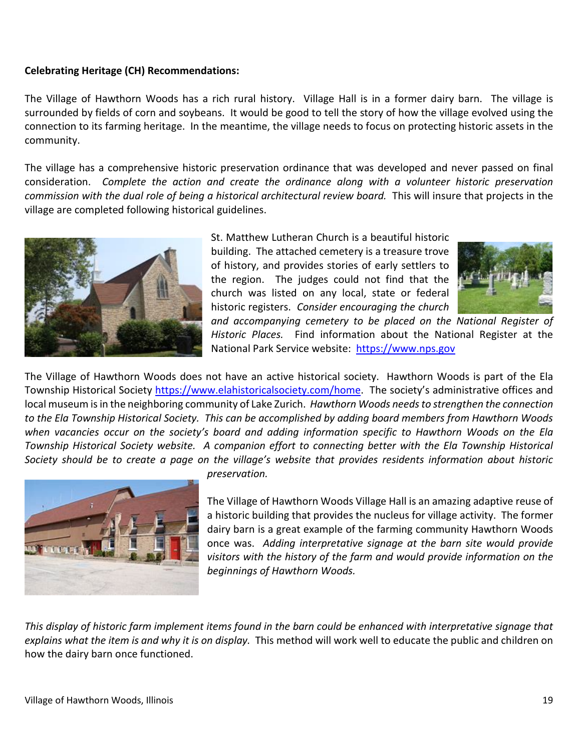### **Celebrating Heritage (CH) Recommendations:**

The Village of Hawthorn Woods has a rich rural history. Village Hall is in a former dairy barn. The village is surrounded by fields of corn and soybeans. It would be good to tell the story of how the village evolved using the connection to its farming heritage. In the meantime, the village needs to focus on protecting historic assets in the community.

The village has a comprehensive historic preservation ordinance that was developed and never passed on final consideration. *Complete the action and create the ordinance along with a volunteer historic preservation commission with the dual role of being a historical architectural review board.* This will insure that projects in the village are completed following historical guidelines.



St. Matthew Lutheran Church is a beautiful historic building. The attached cemetery is a treasure trove of history, and provides stories of early settlers to the region. The judges could not find that the church was listed on any local, state or federal historic registers. *Consider encouraging the church* 



*and accompanying cemetery to be placed on the National Register of Historic Places.* Find information about the National Register at the National Park Service website: [https://www.nps.gov](https://www.nps.gov/) 

The Village of Hawthorn Woods does not have an active historical society. Hawthorn Woods is part of the Ela Township Historical Society [https://www.elahistoricalsociety.com/home.](https://www.elahistoricalsociety.com/home) The society's administrative offices and local museum is in the neighboring community of Lake Zurich. *Hawthorn Woods needs to strengthen the connection to the Ela Township Historical Society. This can be accomplished by adding board members from Hawthorn Woods when vacancies occur on the society's board and adding information specific to Hawthorn Woods on the Ela Township Historical Society website. A companion effort to connecting better with the Ela Township Historical Society should be to create a page on the village's website that provides residents information about historic* 



*preservation.*

The Village of Hawthorn Woods Village Hall is an amazing adaptive reuse of a historic building that provides the nucleus for village activity. The former dairy barn is a great example of the farming community Hawthorn Woods once was. *Adding interpretative signage at the barn site would provide visitors with the history of the farm and would provide information on the beginnings of Hawthorn Woods.* 

This display of historic farm implement items found in the barn could be enhanced with interpretative signage that *explains what the item is and why it is on display.* This method will work well to educate the public and children on how the dairy barn once functioned.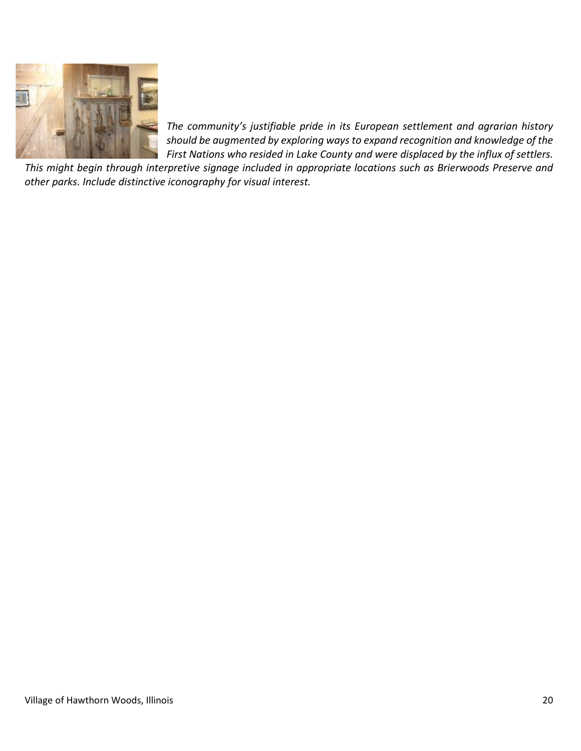

*The community's justifiable pride in its European settlement and agrarian history should be augmented by exploring ways to expand recognition and knowledge of the First Nations who resided in Lake County and were displaced by the influx of settlers.* 

*This might begin through interpretive signage included in appropriate locations such as Brierwoods Preserve and other parks. Include distinctive iconography for visual interest.*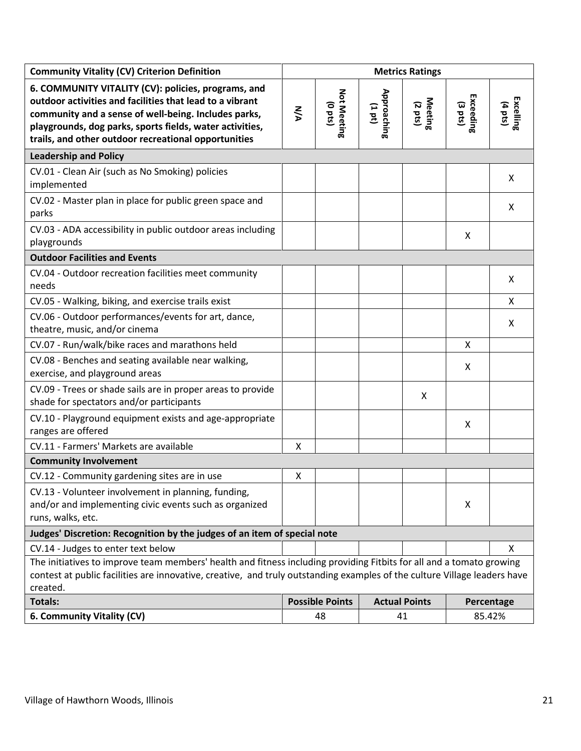| <b>Community Vitality (CV) Criterion Definition</b>                                                                                                                                                                                                                                         | <b>Metrics Ratings</b> |                                 |                      |                    |                                |                      |
|---------------------------------------------------------------------------------------------------------------------------------------------------------------------------------------------------------------------------------------------------------------------------------------------|------------------------|---------------------------------|----------------------|--------------------|--------------------------------|----------------------|
| 6. COMMUNITY VITALITY (CV): policies, programs, and<br>outdoor activities and facilities that lead to a vibrant<br>community and a sense of well-being. Includes parks,<br>playgrounds, dog parks, sports fields, water activities,<br>trails, and other outdoor recreational opportunities | <b>NA</b>              | Not Meeting<br>$(0 \text{ pt})$ | Approaching<br>(101) | Meeting<br>(2 pts) | Exceeding<br>$(3 \text{ pts})$ | Excelling<br>(4 pts) |
| <b>Leadership and Policy</b>                                                                                                                                                                                                                                                                |                        |                                 |                      |                    |                                |                      |
| CV.01 - Clean Air (such as No Smoking) policies<br>implemented                                                                                                                                                                                                                              |                        |                                 |                      |                    |                                | X                    |
| CV.02 - Master plan in place for public green space and<br>parks                                                                                                                                                                                                                            |                        |                                 |                      |                    |                                | X                    |
| CV.03 - ADA accessibility in public outdoor areas including<br>playgrounds                                                                                                                                                                                                                  |                        |                                 |                      |                    | X                              |                      |
| <b>Outdoor Facilities and Events</b>                                                                                                                                                                                                                                                        |                        |                                 |                      |                    |                                |                      |
| CV.04 - Outdoor recreation facilities meet community<br>needs                                                                                                                                                                                                                               |                        |                                 |                      |                    |                                | X                    |
| CV.05 - Walking, biking, and exercise trails exist                                                                                                                                                                                                                                          |                        |                                 |                      |                    |                                | X                    |
| CV.06 - Outdoor performances/events for art, dance,<br>theatre, music, and/or cinema                                                                                                                                                                                                        |                        |                                 |                      |                    |                                | X                    |
| CV.07 - Run/walk/bike races and marathons held                                                                                                                                                                                                                                              |                        |                                 |                      |                    | X                              |                      |
| CV.08 - Benches and seating available near walking,<br>exercise, and playground areas                                                                                                                                                                                                       |                        |                                 |                      |                    | X                              |                      |
| CV.09 - Trees or shade sails are in proper areas to provide<br>shade for spectators and/or participants                                                                                                                                                                                     |                        |                                 |                      | X                  |                                |                      |
| CV.10 - Playground equipment exists and age-appropriate<br>ranges are offered                                                                                                                                                                                                               |                        |                                 |                      |                    | X                              |                      |
| CV.11 - Farmers' Markets are available                                                                                                                                                                                                                                                      | X                      |                                 |                      |                    |                                |                      |
| <b>Community Involvement</b>                                                                                                                                                                                                                                                                |                        |                                 |                      |                    |                                |                      |
| CV.12 - Community gardening sites are in use                                                                                                                                                                                                                                                | X                      |                                 |                      |                    |                                |                      |
| CV.13 - Volunteer involvement in planning, funding,<br>and/or and implementing civic events such as organized<br>runs, walks, etc.                                                                                                                                                          |                        |                                 |                      |                    | X                              |                      |
| Judges' Discretion: Recognition by the judges of an item of special note                                                                                                                                                                                                                    |                        |                                 |                      |                    |                                |                      |
| CV.14 - Judges to enter text below                                                                                                                                                                                                                                                          |                        |                                 |                      |                    |                                | X                    |
| The initiatives to improve team members' health and fitness including providing Fitbits for all and a tomato growing<br>contest at public facilities are innovative, creative, and truly outstanding examples of the culture Village leaders have<br>created.                               |                        |                                 |                      |                    |                                |                      |
| <b>Totals:</b>                                                                                                                                                                                                                                                                              |                        | <b>Possible Points</b>          | <b>Actual Points</b> |                    | Percentage                     |                      |
| 6. Community Vitality (CV)                                                                                                                                                                                                                                                                  |                        | 48                              |                      | 41                 | 85.42%                         |                      |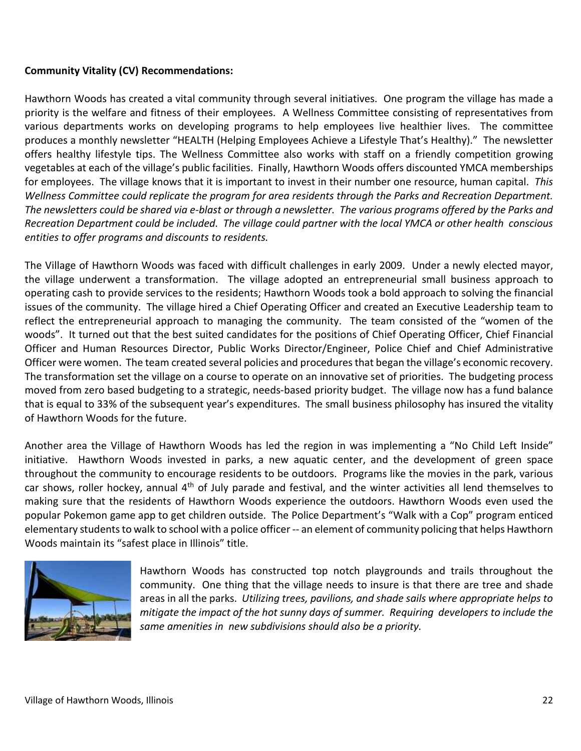# **Community Vitality (CV) Recommendations:**

Hawthorn Woods has created a vital community through several initiatives. One program the village has made a priority is the welfare and fitness of their employees. A Wellness Committee consisting of representatives from various departments works on developing programs to help employees live healthier lives. The committee produces a monthly newsletter "HEALTH (Helping Employees Achieve a Lifestyle That's Healthy)." The newsletter offers healthy lifestyle tips. The Wellness Committee also works with staff on a friendly competition growing vegetables at each of the village's public facilities. Finally, Hawthorn Woods offers discounted YMCA memberships for employees. The village knows that it is important to invest in their number one resource, human capital. *This Wellness Committee could replicate the program for area residents through the Parks and Recreation Department. The newsletters could be shared via e-blast or through a newsletter. The various programs offered by the Parks and Recreation Department could be included. The village could partner with the local YMCA or other health conscious entities to offer programs and discounts to residents.*

The Village of Hawthorn Woods was faced with difficult challenges in early 2009. Under a newly elected mayor, the village underwent a transformation. The village adopted an entrepreneurial small business approach to operating cash to provide services to the residents; Hawthorn Woods took a bold approach to solving the financial issues of the community. The village hired a Chief Operating Officer and created an Executive Leadership team to reflect the entrepreneurial approach to managing the community. The team consisted of the "women of the woods". It turned out that the best suited candidates for the positions of Chief Operating Officer, Chief Financial Officer and Human Resources Director, Public Works Director/Engineer, Police Chief and Chief Administrative Officer were women. The team created several policies and procedures that began the village's economic recovery. The transformation set the village on a course to operate on an innovative set of priorities. The budgeting process moved from zero based budgeting to a strategic, needs-based priority budget. The village now has a fund balance that is equal to 33% of the subsequent year's expenditures. The small business philosophy has insured the vitality of Hawthorn Woods for the future.

Another area the Village of Hawthorn Woods has led the region in was implementing a "No Child Left Inside" initiative. Hawthorn Woods invested in parks, a new aquatic center, and the development of green space throughout the community to encourage residents to be outdoors. Programs like the movies in the park, various car shows, roller hockey, annual 4<sup>th</sup> of July parade and festival, and the winter activities all lend themselves to making sure that the residents of Hawthorn Woods experience the outdoors. Hawthorn Woods even used the popular Pokemon game app to get children outside. The Police Department's "Walk with a Cop" program enticed elementary students to walk to school with a police officer -- an element of community policing that helps Hawthorn Woods maintain its "safest place in Illinois" title.



Hawthorn Woods has constructed top notch playgrounds and trails throughout the community. One thing that the village needs to insure is that there are tree and shade areas in all the parks. *Utilizing trees, pavilions, and shade sails where appropriate helps to mitigate the impact of the hot sunny days of summer. Requiring developers to include the same amenities in new subdivisions should also be a priority.*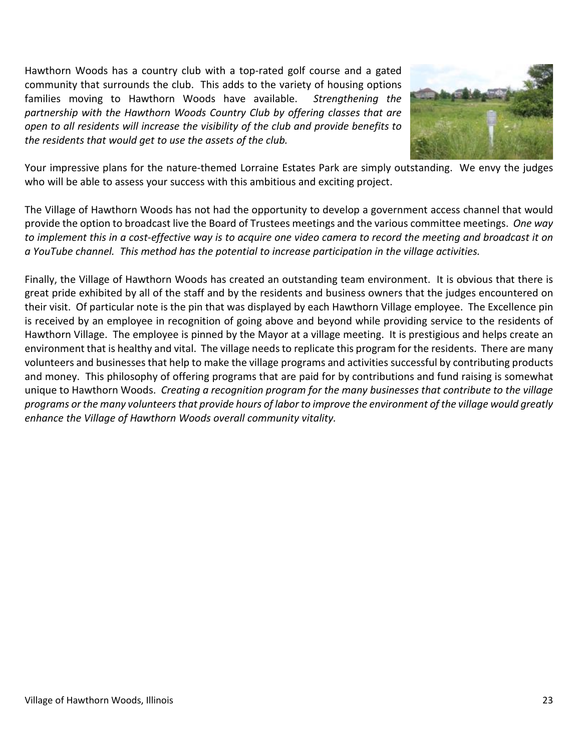Hawthorn Woods has a country club with a top-rated golf course and a gated community that surrounds the club. This adds to the variety of housing options families moving to Hawthorn Woods have available. *Strengthening the partnership with the Hawthorn Woods Country Club by offering classes that are open to all residents will increase the visibility of the club and provide benefits to the residents that would get to use the assets of the club.*



Your impressive plans for the nature-themed Lorraine Estates Park are simply outstanding. We envy the judges who will be able to assess your success with this ambitious and exciting project.

The Village of Hawthorn Woods has not had the opportunity to develop a government access channel that would provide the option to broadcast live the Board of Trustees meetings and the various committee meetings. *One way to implement this in a cost-effective way is to acquire one video camera to record the meeting and broadcast it on a YouTube channel. This method has the potential to increase participation in the village activities.*

Finally, the Village of Hawthorn Woods has created an outstanding team environment. It is obvious that there is great pride exhibited by all of the staff and by the residents and business owners that the judges encountered on their visit. Of particular note is the pin that was displayed by each Hawthorn Village employee. The Excellence pin is received by an employee in recognition of going above and beyond while providing service to the residents of Hawthorn Village. The employee is pinned by the Mayor at a village meeting. It is prestigious and helps create an environment that is healthy and vital. The village needs to replicate this program for the residents. There are many volunteers and businesses that help to make the village programs and activities successful by contributing products and money. This philosophy of offering programs that are paid for by contributions and fund raising is somewhat unique to Hawthorn Woods. *Creating a recognition program for the many businesses that contribute to the village programs or the many volunteers that provide hours of labor to improve the environment of the village would greatly enhance the Village of Hawthorn Woods overall community vitality.*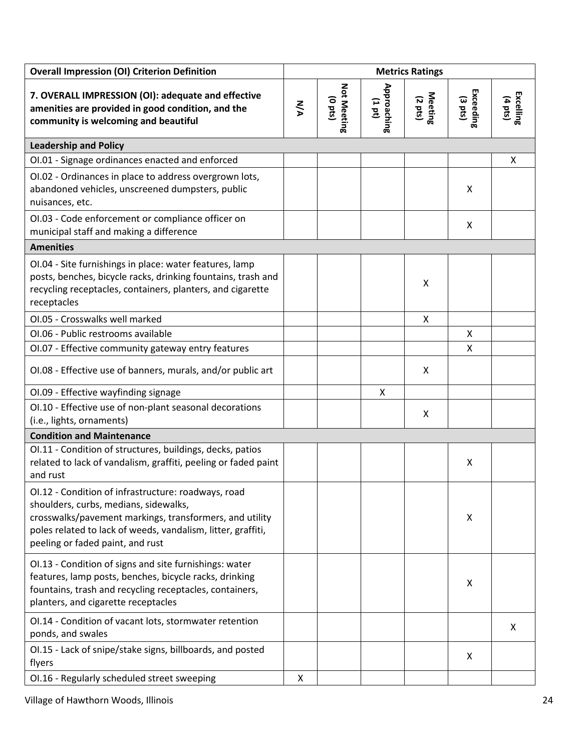| <b>Overall Impression (OI) Criterion Definition</b>                                                                                                                                                                                                         |           |                              |                          | <b>Metrics Ratings</b> |                        |                                |
|-------------------------------------------------------------------------------------------------------------------------------------------------------------------------------------------------------------------------------------------------------------|-----------|------------------------------|--------------------------|------------------------|------------------------|--------------------------------|
| 7. OVERALL IMPRESSION (OI): adequate and effective<br>amenities are provided in good condition, and the<br>community is welcoming and beautiful                                                                                                             | <b>NA</b> | Not Meeting<br>$($ sad $_0)$ | Approaching<br>$(1 d_1)$ | Meeting<br>(2 pts)     | Exceeding<br>$(3$ pts) | Excelling<br>$(4 \text{ pts})$ |
| <b>Leadership and Policy</b>                                                                                                                                                                                                                                |           |                              |                          |                        |                        |                                |
| OI.01 - Signage ordinances enacted and enforced                                                                                                                                                                                                             |           |                              |                          |                        |                        | X                              |
| OI.02 - Ordinances in place to address overgrown lots,<br>abandoned vehicles, unscreened dumpsters, public<br>nuisances, etc.                                                                                                                               |           |                              |                          |                        | X                      |                                |
| OI.03 - Code enforcement or compliance officer on<br>municipal staff and making a difference                                                                                                                                                                |           |                              |                          |                        | X                      |                                |
| <b>Amenities</b>                                                                                                                                                                                                                                            |           |                              |                          |                        |                        |                                |
| OI.04 - Site furnishings in place: water features, lamp<br>posts, benches, bicycle racks, drinking fountains, trash and<br>recycling receptacles, containers, planters, and cigarette<br>receptacles                                                        |           |                              |                          | X                      |                        |                                |
| OI.05 - Crosswalks well marked                                                                                                                                                                                                                              |           |                              |                          | X                      |                        |                                |
| OI.06 - Public restrooms available                                                                                                                                                                                                                          |           |                              |                          |                        | X                      |                                |
| OI.07 - Effective community gateway entry features                                                                                                                                                                                                          |           |                              |                          |                        | X                      |                                |
| OI.08 - Effective use of banners, murals, and/or public art                                                                                                                                                                                                 |           |                              |                          | X                      |                        |                                |
| OI.09 - Effective wayfinding signage                                                                                                                                                                                                                        |           |                              | X                        |                        |                        |                                |
| OI.10 - Effective use of non-plant seasonal decorations<br>(i.e., lights, ornaments)                                                                                                                                                                        |           |                              |                          | X                      |                        |                                |
| <b>Condition and Maintenance</b>                                                                                                                                                                                                                            |           |                              |                          |                        |                        |                                |
| OI.11 - Condition of structures, buildings, decks, patios<br>related to lack of vandalism, graffiti, peeling or faded paint<br>and rust                                                                                                                     |           |                              |                          |                        | Χ                      |                                |
| OI.12 - Condition of infrastructure: roadways, road<br>shoulders, curbs, medians, sidewalks,<br>crosswalks/pavement markings, transformers, and utility<br>poles related to lack of weeds, vandalism, litter, graffiti,<br>peeling or faded paint, and rust |           |                              |                          |                        | Χ                      |                                |
| OI.13 - Condition of signs and site furnishings: water<br>features, lamp posts, benches, bicycle racks, drinking<br>fountains, trash and recycling receptacles, containers,<br>planters, and cigarette receptacles                                          |           |                              |                          |                        | Χ                      |                                |
| OI.14 - Condition of vacant lots, stormwater retention<br>ponds, and swales                                                                                                                                                                                 |           |                              |                          |                        |                        | X                              |
| OI.15 - Lack of snipe/stake signs, billboards, and posted<br>flyers                                                                                                                                                                                         |           |                              |                          |                        | X                      |                                |
| OI.16 - Regularly scheduled street sweeping                                                                                                                                                                                                                 | X         |                              |                          |                        |                        |                                |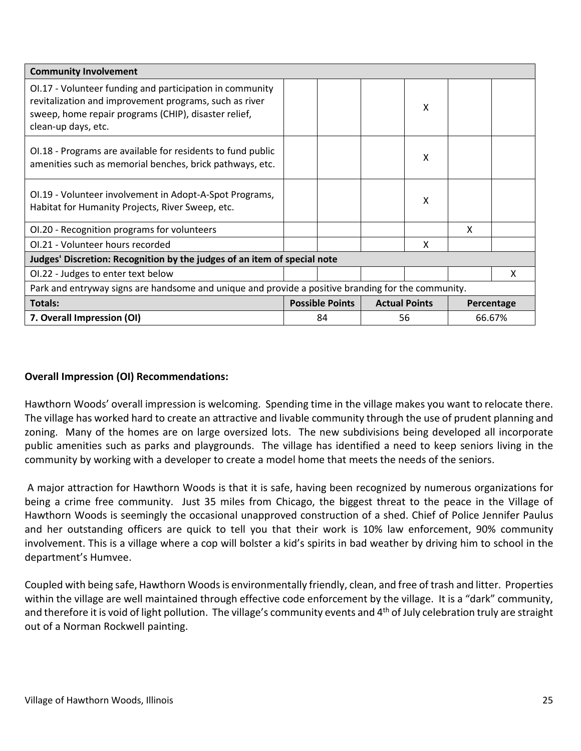| <b>Community Involvement</b>                                                                                                                                                                      |                        |                      |    |   |            |  |
|---------------------------------------------------------------------------------------------------------------------------------------------------------------------------------------------------|------------------------|----------------------|----|---|------------|--|
| OI.17 - Volunteer funding and participation in community<br>revitalization and improvement programs, such as river<br>sweep, home repair programs (CHIP), disaster relief,<br>clean-up days, etc. |                        |                      | Χ  |   |            |  |
| OI.18 - Programs are available for residents to fund public<br>amenities such as memorial benches, brick pathways, etc.                                                                           |                        |                      | X  |   |            |  |
| OI.19 - Volunteer involvement in Adopt-A-Spot Programs,<br>Habitat for Humanity Projects, River Sweep, etc.                                                                                       |                        |                      | Χ  |   |            |  |
| OI.20 - Recognition programs for volunteers                                                                                                                                                       |                        |                      |    | X |            |  |
| OI.21 - Volunteer hours recorded                                                                                                                                                                  |                        |                      | X  |   |            |  |
| Judges' Discretion: Recognition by the judges of an item of special note                                                                                                                          |                        |                      |    |   |            |  |
| OI.22 - Judges to enter text below                                                                                                                                                                |                        |                      |    |   | X          |  |
| Park and entryway signs are handsome and unique and provide a positive branding for the community.                                                                                                |                        |                      |    |   |            |  |
| <b>Totals:</b>                                                                                                                                                                                    | <b>Possible Points</b> | <b>Actual Points</b> |    |   | Percentage |  |
| 7. Overall Impression (OI)                                                                                                                                                                        | 84                     |                      | 56 |   | 66.67%     |  |

# **Overall Impression (OI) Recommendations:**

Hawthorn Woods' overall impression is welcoming. Spending time in the village makes you want to relocate there. The village has worked hard to create an attractive and livable community through the use of prudent planning and zoning. Many of the homes are on large oversized lots. The new subdivisions being developed all incorporate public amenities such as parks and playgrounds. The village has identified a need to keep seniors living in the community by working with a developer to create a model home that meets the needs of the seniors.

A major attraction for Hawthorn Woods is that it is safe, having been recognized by numerous organizations for being a crime free community. Just 35 miles from Chicago, the biggest threat to the peace in the Village of Hawthorn Woods is seemingly the occasional unapproved construction of a shed. Chief of Police Jennifer Paulus and her outstanding officers are quick to tell you that their work is 10% law enforcement, 90% community involvement. This is a village where a cop will bolster a kid's spirits in bad weather by driving him to school in the department's Humvee.

Coupled with being safe, Hawthorn Woods is environmentally friendly, clean, and free of trash and litter. Properties within the village are well maintained through effective code enforcement by the village. It is a "dark" community, and therefore it is void of light pollution. The village's community events and 4<sup>th</sup> of July celebration truly are straight out of a Norman Rockwell painting.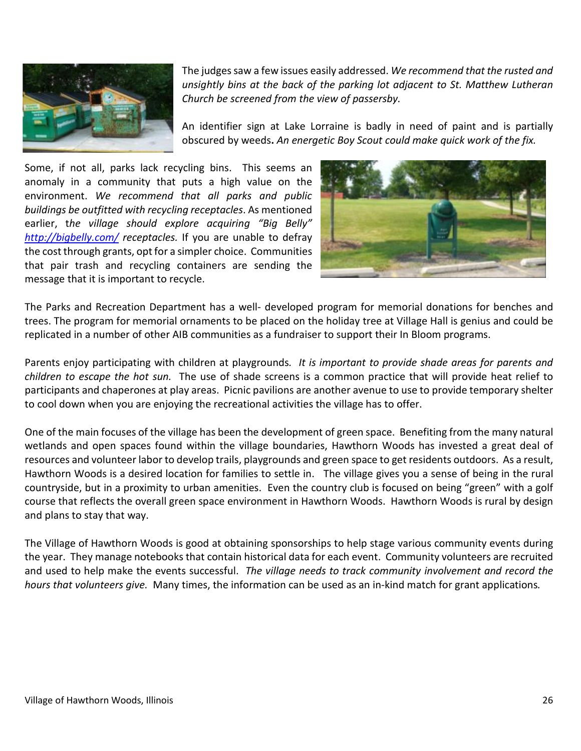

The judges saw a few issues easily addressed. *We recommend that the rusted and unsightly bins at the back of the parking lot adjacent to St. Matthew Lutheran Church be screened from the view of passersby.*

An identifier sign at Lake Lorraine is badly in need of paint and is partially obscured by weeds**.** *An energetic Boy Scout could make quick work of the fix.*

Some, if not all, parks lack recycling bins. This seems an anomaly in a community that puts a high value on the environment. *We recommend that all parks and public buildings be outfitted with recycling receptacles*. As mentioned earlier, t*he village should explore acquiring "Big Belly" <http://bigbelly.com/> receptacles.* If you are unable to defray the cost through grants, opt for a simpler choice. Communities that pair trash and recycling containers are sending the message that it is important to recycle.



The Parks and Recreation Department has a well- developed program for memorial donations for benches and trees. The program for memorial ornaments to be placed on the holiday tree at Village Hall is genius and could be replicated in a number of other AIB communities as a fundraiser to support their In Bloom programs.

Parents enjoy participating with children at playgrounds*. It is important to provide shade areas for parents and children to escape the hot sun.* The use of shade screens is a common practice that will provide heat relief to participants and chaperones at play areas. Picnic pavilions are another avenue to use to provide temporary shelter to cool down when you are enjoying the recreational activities the village has to offer.

One of the main focuses of the village has been the development of green space. Benefiting from the many natural wetlands and open spaces found within the village boundaries, Hawthorn Woods has invested a great deal of resources and volunteer labor to develop trails, playgrounds and green space to get residents outdoors. As a result, Hawthorn Woods is a desired location for families to settle in. The village gives you a sense of being in the rural countryside, but in a proximity to urban amenities. Even the country club is focused on being "green" with a golf course that reflects the overall green space environment in Hawthorn Woods. Hawthorn Woods is rural by design and plans to stay that way.

The Village of Hawthorn Woods is good at obtaining sponsorships to help stage various community events during the year. They manage notebooks that contain historical data for each event. Community volunteers are recruited and used to help make the events successful. *The village needs to track community involvement and record the hours that volunteers give.* Many times, the information can be used as an in-kind match for grant applications*.*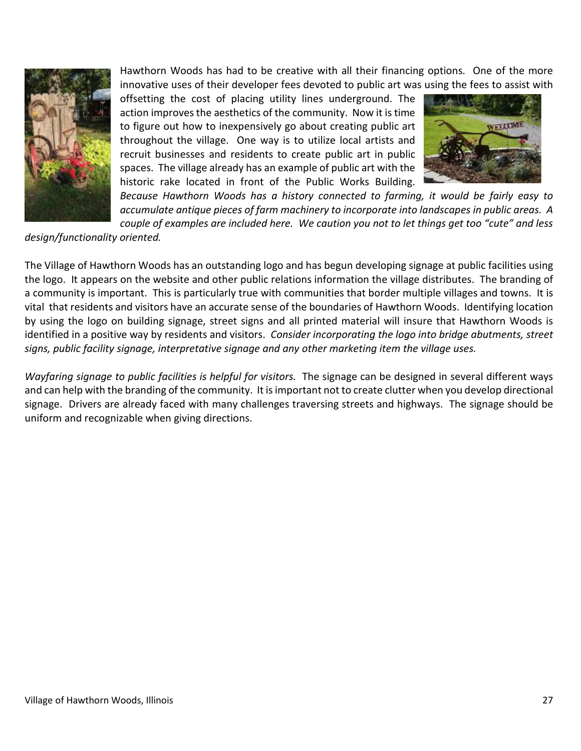

Hawthorn Woods has had to be creative with all their financing options. One of the more innovative uses of their developer fees devoted to public art was using the fees to assist with

offsetting the cost of placing utility lines underground. The action improves the aesthetics of the community. Now it is time to figure out how to inexpensively go about creating public art throughout the village. One way is to utilize local artists and recruit businesses and residents to create public art in public spaces. The village already has an example of public art with the historic rake located in front of the Public Works Building.



*Because Hawthorn Woods has a history connected to farming, it would be fairly easy to accumulate antique pieces of farm machinery to incorporate into landscapes in public areas. A couple of examples are included here. We caution you not to let things get too "cute" and less* 

*design/functionality oriented.*

The Village of Hawthorn Woods has an outstanding logo and has begun developing signage at public facilities using the logo. It appears on the website and other public relations information the village distributes. The branding of a community is important. This is particularly true with communities that border multiple villages and towns. It is vital that residents and visitors have an accurate sense of the boundaries of Hawthorn Woods. Identifying location by using the logo on building signage, street signs and all printed material will insure that Hawthorn Woods is identified in a positive way by residents and visitors. *Consider incorporating the logo into bridge abutments, street signs, public facility signage, interpretative signage and any other marketing item the village uses.*

*Wayfaring signage to public facilities is helpful for visitors.* The signage can be designed in several different ways and can help with the branding of the community. It is important not to create clutter when you develop directional signage. Drivers are already faced with many challenges traversing streets and highways. The signage should be uniform and recognizable when giving directions.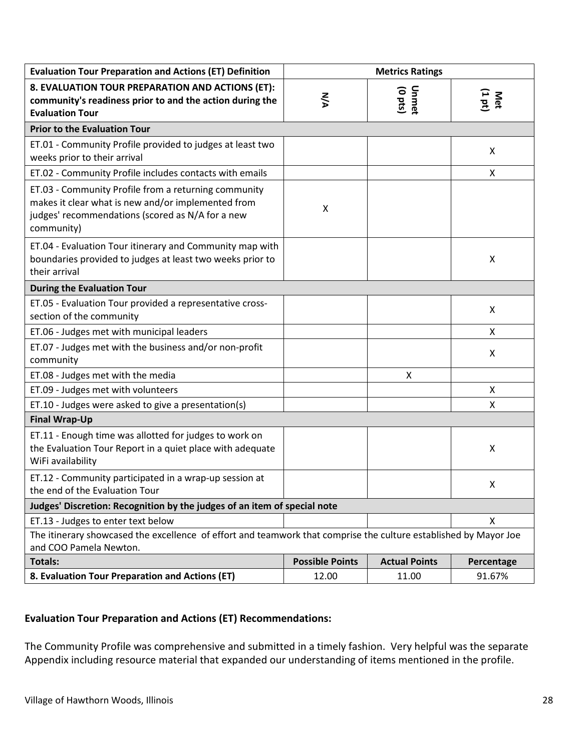| <b>Evaluation Tour Preparation and Actions (ET) Definition</b>                                                                                                               | <b>Metrics Ratings</b> |                      |               |
|------------------------------------------------------------------------------------------------------------------------------------------------------------------------------|------------------------|----------------------|---------------|
| 8. EVALUATION TOUR PREPARATION AND ACTIONS (ET):<br>community's readiness prior to and the action during the<br><b>Evaluation Tour</b>                                       | <b>N/A</b>             | Unmet<br>(0 pts)     | Met<br>(1 pt) |
| <b>Prior to the Evaluation Tour</b>                                                                                                                                          |                        |                      |               |
| ET.01 - Community Profile provided to judges at least two<br>weeks prior to their arrival                                                                                    |                        |                      | X             |
| ET.02 - Community Profile includes contacts with emails                                                                                                                      |                        |                      | X             |
| ET.03 - Community Profile from a returning community<br>makes it clear what is new and/or implemented from<br>judges' recommendations (scored as N/A for a new<br>community) | X                      |                      |               |
| ET.04 - Evaluation Tour itinerary and Community map with<br>boundaries provided to judges at least two weeks prior to<br>their arrival                                       |                        |                      | Χ             |
| <b>During the Evaluation Tour</b>                                                                                                                                            |                        |                      |               |
| ET.05 - Evaluation Tour provided a representative cross-<br>section of the community                                                                                         |                        |                      | X             |
| ET.06 - Judges met with municipal leaders                                                                                                                                    |                        |                      | X             |
| ET.07 - Judges met with the business and/or non-profit<br>community                                                                                                          |                        |                      | X             |
| ET.08 - Judges met with the media                                                                                                                                            |                        | X                    |               |
| ET.09 - Judges met with volunteers                                                                                                                                           |                        |                      | X             |
| ET.10 - Judges were asked to give a presentation(s)                                                                                                                          |                        |                      | X             |
| <b>Final Wrap-Up</b>                                                                                                                                                         |                        |                      |               |
| ET.11 - Enough time was allotted for judges to work on<br>the Evaluation Tour Report in a quiet place with adequate<br>WiFi availability                                     |                        |                      | Χ             |
| ET.12 - Community participated in a wrap-up session at<br>the end of the Evaluation Tour                                                                                     |                        |                      | Χ             |
| Judges' Discretion: Recognition by the judges of an item of special note                                                                                                     |                        |                      |               |
| ET.13 - Judges to enter text below                                                                                                                                           |                        |                      | X             |
| The itinerary showcased the excellence of effort and teamwork that comprise the culture established by Mayor Joe<br>and COO Pamela Newton.                                   |                        |                      |               |
| <b>Totals:</b>                                                                                                                                                               | <b>Possible Points</b> | <b>Actual Points</b> | Percentage    |
| 8. Evaluation Tour Preparation and Actions (ET)                                                                                                                              | 12.00                  | 11.00                | 91.67%        |

# **Evaluation Tour Preparation and Actions (ET) Recommendations:**

The Community Profile was comprehensive and submitted in a timely fashion. Very helpful was the separate Appendix including resource material that expanded our understanding of items mentioned in the profile.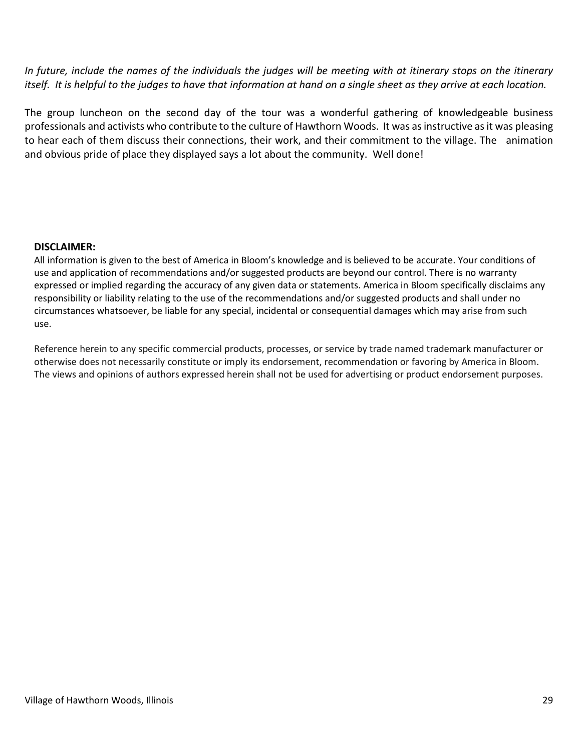*In future, include the names of the individuals the judges will be meeting with at itinerary stops on the itinerary itself. It is helpful to the judges to have that information at hand on a single sheet as they arrive at each location.* 

The group luncheon on the second day of the tour was a wonderful gathering of knowledgeable business professionals and activists who contribute to the culture of Hawthorn Woods. It was as instructive as it was pleasing to hear each of them discuss their connections, their work, and their commitment to the village. The animation and obvious pride of place they displayed says a lot about the community. Well done!

### **DISCLAIMER:**

All information is given to the best of America in Bloom's knowledge and is believed to be accurate. Your conditions of use and application of recommendations and/or suggested products are beyond our control. There is no warranty expressed or implied regarding the accuracy of any given data or statements. America in Bloom specifically disclaims any responsibility or liability relating to the use of the recommendations and/or suggested products and shall under no circumstances whatsoever, be liable for any special, incidental or consequential damages which may arise from such use.

Reference herein to any specific commercial products, processes, or service by trade named trademark manufacturer or otherwise does not necessarily constitute or imply its endorsement, recommendation or favoring by America in Bloom. The views and opinions of authors expressed herein shall not be used for advertising or product endorsement purposes.